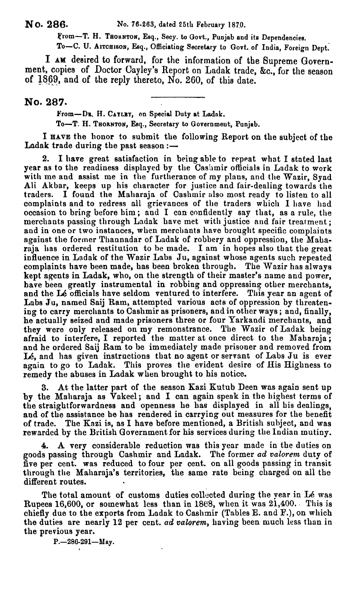**From-T. H. TEOHNTON, Esq., Secy. to Govt., Punjab and its Dependencies.** 

To-C. U. AITCHISON, Esq., Officiating Secretary to Govt. of India, Foreign Dept.

I **AM** desired to forward, for the information of the Bupreme Government, copies of Doctor Cayley'e Report on Ladak trade, **&C.,** for tlie season of  $1869$ , and of the reply thereto, No. 260, of this date.

## **No. 287.**

From-DR. H. CAYLEY, on Special Duty at Ladak.

**To-T. H. THORNTON, Esq., Secretary to Government, Punjab.** 

I **HAVE** the honor to submit the following Report on the subject of the Ladak trade during the past season  $:$   $-$ 

2. I have great satisfaction in being able to repeat what I stated last year as to the readiness displayed by the Cashmir officials in Ladak to work with me and assist me in the furtherance of my plans, and the Wazir, Syad Ali Akbar, keeps up his character for justice and fair-dealing towards the traders. I found the Maharaja of Cashmir also most ready to listen to all complaints and to redress all grievances of the traders which I have had occasion to bring before him; and I can confidently say that, as a rule, the merchants passing through Ladak have met with justice and fair treatment; and in one or two instances, when merchants have brought specific complaints against the former Thannadar of Ladak of robbery and oppression, the Maharaja has ordered restitution to be made. I am in hopes also that the great influence in Ladak of the Wazir Labs Ju, against whose agents such repeated complaints have been made, has been broken through. The Wazir has always kept agents in Ladak, who, on the strength of their master's name and power, have been greatly instrumental in robbiug and oppressing other merchants, and the **L6** officials have seldom ventured to interfere. This year an agent of Labs Ju, named Saij Ram, attempted various acts of oppression by threatening to carry merchants to Cashmir as prisoners, and in other ways; and, finally, he actually seized and made prisoners three or four Yarkandi merchants, and they were only released on my remonstrance. The Wazir of Ladak being<br>afraid to interfere, I reported the matter at once direct to the Maharaja; and he ordered Saij Ram to be immediately made prisoner and removed from Lé, and has given instructions that no agent or servant of Labs Ju is ever again to go to Ladak. This proves the evident desire of His Highness to remedy the abuses in Ladak when brought to his notice.

**3.** At the latter part of the season Kazi Kutub Deen **was** again sent up by the Maharaja as Vakeel; and I can again speak in the highest terms of the straightforwardness and openness he **has** displayed in all his dealinge, and of the assistance he has rendered in carrying out measures for the benefit of trade. The Kazi is, as I have before mentioned, a British subject, and was rewarded by the British Qovernment for his services during the Indian mutiny.

**4.** A very considerable reduction was this year made in the duties on goods passing through Cashmir and Ladak. The former ad valorem duty of five per cent. was reduced to four per cent. on all goods passing in transit through the Maharaja's territories, the same rate being charged on all the different routes.

The total amount of customs duties collected during the year in Lé was Rupees 16,600, or somewhat less than in 1868, when it was  $21,400$ . This is chiefly due to the exports from Ladak to Cashmir (Tables E. and  $F.$ ), on which the duties are nearly 12 per cent. ad *oalorem,* having been much less than in the previous year.

**P.-286-291-May.**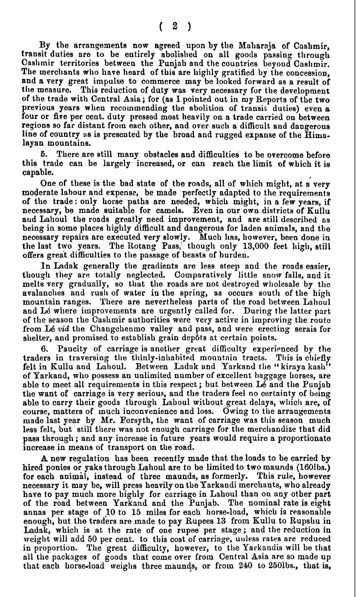By the arrangements now agreed upon by the Maharaja of Cashmir. transit duties are to be entirely abolished on all goods passing through Caslimir territories between the Punjab and the countries boy ond Caslimir. The merchants who have heard of this are highly gratified by the concession, and a very great impulse to commerce may be looked forward as a result of the measure. This reduction of duty was very necessary for the development This reduction of duty was very necessary for the development of the trade with Central Asia; for (as I pointed out in my Reports of the two previous years when recommending the abolition of transit duties) even a four or five per cent. duty pressed most heavily on a trade carried on between regions so far distant from each other, and over such a difficult and dangerous line of country as is presented by the broad and rugged expanse of the Himalayan mountains.

**6.** There are dill many obstacles and difficulties to be overcome before this trade can be largely increased, or can reach the limit of which it is capable. capable. **ICapable**.

One of these is the bad state of the roads, all of which might, at a very moderate labour and expense, be made perfectly adapted to the requirements of the trade: only horse paths are needed, which might, in a few years, if necessary, be made suitable for camels. Even in our own districts of Kullu and Lalioul the roads greatly need improvement, and are still described as being in some places highly difficult and dangerous for laden animals, and the necessary repairs are executed very slowly. Much has, however, been done in the last two years. The Rotang Pass, though only  $13,000$  feet high, still offers great difficulties to the passage of beasts of burden.

In Ladak generally the gradients are less steep and the roads easier, though they are totally neglected. Comparatively little snow falls, and it melts very gradually, so that the roads are not destroyed wholesale by the avalanches and rush of water in the spring, as occurs south of the high mountain ranges. There are nevertheless parts of the road between Lahoul and Lé where improvements are urgently called for. During the latter part of the season the Casllmir authorities were very active in improving the routo from L6 **via** the Changchenmo valley and pass, and were erecting serais for shelter, and promised to establish grain dep6ts at certain points.

6. Paucity of carriage is another great difficulty experienced by **the**  traders in traversing the thinly-inhabited mountain tracts. This is chiefly felt in Kullu and Lahoul. Between Ladak and Yarkand the "kiraya kash" of Yarkand, who possess an unlimited number of excellent baggage horses, are able to meet all requirements in this respect; but between **L5** and the Punjab the want of carriage is very serious, and the traders feel no certainty of being able to carry their goods through Lahoul without great delays, which are, of course, matters of much inconvenience and loss. Owing to the arrangements made last year by Mr. Forsyth, the want of carriage was this season much less felt, but still there was not enough carriage for the merchandize that did pass through; and any increase in future years would require a proportionate increase in means of transport on the road.

A new regulation has been recently made that the loads to be carried by hired ponies or yaks through Lahoul are to be limited to two maunds (1601bs.) for each animal, instead of three maunds, as formerly. This rule, however necessary it may be, will press heavily on the Yarkandi merchants, who already have to pay much more highly for carriage in Lahoul than on any other part of tbe road between Yarkand and the Punjab. The nominal rate is eight annas per stage of 10 to 15 milee for each horse-load, which is reasonable enough, but the traders are made to pay Rupees 13 from Kullu to Rupshu in Ladak, which is at the rate of one rupee per stage; and the reduction in weight will add 50 per cent. to this cost of carriage, unless rates are reduced in proportion. The great difficulty, however, to the Yarkandis will be that all the packages of goods that come over from Central Asia are so made up that each horse-load weighs three maunds, or from 240 to 250lbs., that is,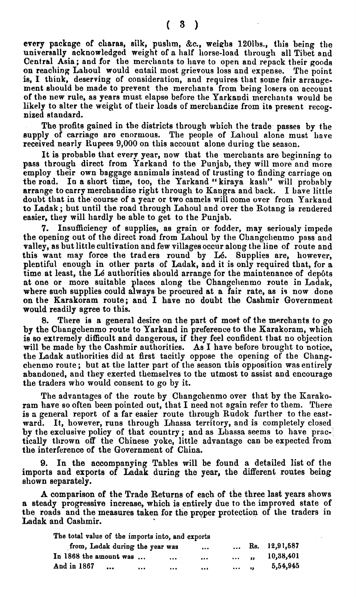every package of charas, silk, pushm, &c., weighs 120lbs., this being the universally acknowledged weight of a half horse-load through all Tibet and Central Asia; and for the merchants to have to open and repack their goods on reaching Lahoul would entail most grievous loss and expense. The point is, I think, deserving of consideration, and requires that some fair arrangement should be made to prevent the merchants from being losers on account of the new rule, as years must elapse before the Yarkandi merchants would be likely to alter the weight of their loads of merchandize from its present recognized standard.

The profits gained in the districts through which the trade passes by the supply of carriage are enormous. The people of Lahoul alone must have received nearly Rupees 9,000 on this account alone during the season.

It is probable that every year, now that the merchants are beginning to pass through direct from Yarkand to the Punjab, they will more and more employ their own baggage annimals instead of trusting to finding carriage on the road. In a short time, too, the Yarkand "kiraya kash" will probably arrange to carry merchandize right through to Kangra and back. I have little doubt that in the'course of a gear or two camels mill come over from Yarkand to Ladak; but until the road through Lahoul and over the Rotang is rendered easier, they will hardly be able to get to the Punjab.

**7.** Insufficiency of supplies, as grain or fodder, may seriously impede the opening out of the direct road from Lahoul by the Changchenmo pass and valley, as but little cultivation and few villages occur along the line of route and this want may force the traders round by Lé. Supplies are, however, plentiful enough in other parts of Ladak, and it is only required that, for a time at least, the Lé authorities should arrange for the maintenance of depôts at one or more suitable places along the Changcllenmo route in Ladak, where such supplies could always be procured at a fair rate, as is now done on the Karakoram route; and I have no doubt the Cashmir Government would readily agree to this.

There is a general desire on the part of most of the merchants to go by the Changchenmo route to Yarkand in preference to the Karakoram, which is so extremely difficult and dangerous, if they feel confident that no objection will be made by the Cashmir authorities. As I have before brought to notice, the Ladak authorities did at first tacitly oppose the opening of the Changchenmo route; but at the latter part of the season this opposition was entirely abandoned, and they exerted themselves to the utmost to assist and encourage the traders who would consent to go by it.

The advantages of the route by Changchenmo over that by the Karakoram have so often been pointed out, that I need not again refer to them. There is a general report of a far easier route through Rudok further to the eastward. It, however, runs through Lhassa territory, and is completely closed by the exclusive policy of that country; and as Lhassa seems to have prac-' tically tlirown off the Chinese yoke, little advantage can be expected from the interference of the Government of China.

**9.** In the accompanying Tables will be found a detailed list of the imports and exports of Ladak during the year, the different routes being shown separately.

A comparison of the Trade Returns of each of the three last years shows a steady progressive increase, which is entirely due to the improved state of the roads and the measures taken for the proper protection of the traders in Ladak and Cashmir.

| The total value of the imports into, and exports |                   |               |
|--------------------------------------------------|-------------------|---------------|
| from, Ladak during the year was<br>$\cdots$      | $\mathbf{A}$      | Rs. 12,91,587 |
| In 1868 the amount was<br>$\cdots$<br>$\cdots$   | $\cdots$ $\cdots$ | 10,38,401     |
| And in 1867<br><br>$\cdots$<br><br>              |                   | 5,54,945      |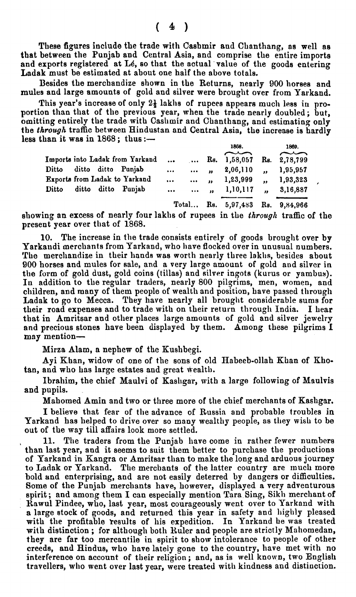These figures include the trade with Cashmir and Chanthang, as well as that between the Punjab and Central Asia, and comprise the entire imports and exports registered at Lé, so that the actual value of the goods entering Lndak must be estimated at about one half the above totals.

Besides the merchandize ehown in the Returns, nearly 900 horses and mules and large amounts of gold and silver were brought over from Yarkand.

This year's increase of only  $2\frac{1}{2}$  lakhs of rupees appears much less in proportion than that of the previous year, when the trade nearly doubled ; but, omitting entirely the trade with Cashmir and Chanthang, and estimating only the through traffic between Hindustan and Central Asia, the increase is hardly Besides the merchandize shown in the Returns, nearly 900 horses and<br>mules and large amounts of gold and silver were brought over from Yarkand.<br>This year's increase of only  $2\frac{1}{2}$  lakhs of rupees appears much less in pr

|                                    |                       |          | ,,,,,,                          | 1000.      |  |
|------------------------------------|-----------------------|----------|---------------------------------|------------|--|
|                                    |                       |          |                                 | $\sim$     |  |
| Imports into Ladak from Yarkand    |                       |          | Rs. 1,58,057 Rs. 2,78,799       |            |  |
| Ditto ditto ditto Punjab           | $\bullet$             | $\cdots$ | 2,06,110                        | , 1,95,957 |  |
| Exports from Ladak to Yarkand      | $\bullet$ - $\bullet$ |          | $\cdots$ , , 1,23,999           | , 1,93,323 |  |
| ditto ditto Punjab<br><b>Ditto</b> | $\cdots$              |          | $\ldots$ , 1,10,117 , 3,16,887  |            |  |
|                                    |                       |          | Total Rs. 5,97,483 Rs. 9,84,966 |            |  |

showing an excess of nearly four laklis of rupees in the *through* traffic of the present year over that of 1868.

10. The increase in the trade consists entirely of goods brought over by Yarkandi merchants from Yarkand, who have flocked over in unusual numbers. The merchandize in their hands was worth nearly three lakhs, besides about 900 horses and mules for ale, and a very large amount of gold and silver in the form of gold dust, gold coins (tillas) and silver ingots (kurus or yambus). In addition to the regular traders, nearly 800 pilgrims, men, women, and children, and many of them people of wealth and position, have passed through Ladak to go to Mecca. They have nearly all brought considerable sums for their road expenses and to trade with on their return through India. I hear that in Amritsar and other places large amounts of gold and silver jewelry and precious stones have been displayed by them. Among these pilgrims **1 may** mention-

Mirza Alam, a nephew of the Kushbegi.

Ayi Khan, widow of one of the sons of old Habeeb-ollah Khan of Khotan, and who has large estates and great wealth.

Ibrahim, the chief Maulvi of Kashgar, with a large following of Maulvis and pupils.

Mahomed Amin and two or three more of the chief merchants of Kashgar.

I believe that fear of the advance of Russia and probable troubles in Yarkand has helped to drive over so many wealthy people, as they wish to be out of the way till affairs look more settled.

, **11.** The traders from the Punjab have come in rather fewer numbcrs than last year, and it seems to suit them better to purchase the productions of Yarkand in Kangra or Amritsar than to make the long and arduous journer to Ladak or Yarkand. The merchants of the latter country are much more bold and enterprising, and are not easily deterred by dangers or difficulties. Some of the Punjab merchants have, however, displayed a very adventurous spirit; and among them I can especially mention Tara Sing, Sikh merchant of Rawul Pindee, who, last year, most courageously went over to Yarkand with a large stock of goods, and returned this year in safety and highly pleased with the profitable results of his expedition. In Yarkand he was treated with distinction; for although both Ruler and people are strictly Mahomedan, they are far too mercantile in spirit to show intolerance to people of other creeds, and Hindus, who have lately gone to the country, have met with no interference on account of their religion; and, as is well known, two English travellers, who went over last year, were treated with kindness and distinction.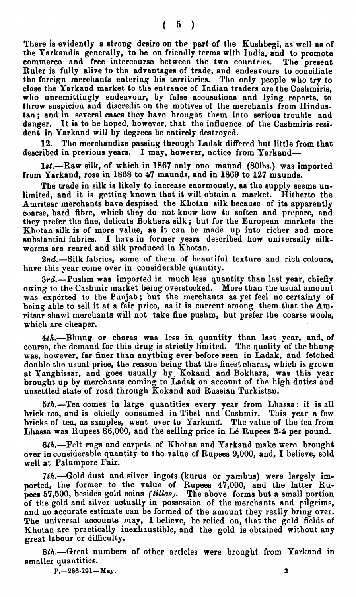There **ie** evidently a strong desire on the part of the Kuehbegi, as well as of the Yarkandis generally, to be on friendly terms with India, and to promote commerce and free intercourse between the two countries. **The** present Ruler is fully alive to the advantages of trade, and endeavours to conciliate the foreign merchants entering his territories. The only people who try to close the Yarkaod market to the entrance of Indian traders are the Cashmirie, who unremittingly endeavour, by false accusations and lying reports, to throw suspicion and disoredit on the motives of the merchants from Hindustan ; and in several casee they have brought them into serious trouble and danger. It is to be hoped, however, that the influence of the Casbmiris resident in Yarkand will by degrees be entirely destroyed.

**12.** The merchandize passing through Ladak differed but little from that described in previous years. I may, however, notice from Yarkand-

1st.-Raw silk, of which in 1867 only one maund (80ths.) was imported from Yarkand, rose in l868 to 47 maunda, and in 1869 to 127 maunds.

The trade in eilk is likely to increase enormously, as the supply seems unlimited, and it is getting known that it will obtain a market. Hitherto the Amritsar merchants have despised the KLotan silk because of its apparently coarse, hard fibre, which they do not know how to soften and prepare, and they prefer the fine, delicate Bokhara silk; but for the European markets the Khotan silk is of more value, as it can be made up into richer and more eubstantial fabrics. I have in former pears described how universally silkworms are reared and silk produced in Khotan.

 $2nd$ . Silk fabrics, some of them of beautiful texture and rich colours, have this year come over in considerable quantity.

 $3rd.$ —Pushm was imported in much less quantity than last year, chiefly owing to the Cashmir market being overstocked. More than the usual amount was exported to the Punjab; but the merchants as yet feel no certainty of being able to sell it at a fair price, as it is current among them that the Amritsar shawl merchants will not take fine pushm, but prefer the coarse wools, which are cheaper.

 $4th$ .--Bhung or charas was less in quantity than last year, and, of course, the demand for this drug is strictly limited. The quality of the bhung was, however, far finer than anything ever before seen in Ladak, and fetched double the usual price, the reason being that the finest charas, which is grown at Yanghissar, and goes usually by ICokand and Bokhara, was this year brought up by merchants coming to Ladak on account of the high duties and unsettled state of road through Kokand and Russian Turkistan.

5th.-Tea comes in large quantities every year from Lhassa: it is all brick tea, and is chiefly consumed in Tibet and Cashmir. This year a few bricks of tea, as samples, went over to Yarkand. The value of the tea from Lllassa was Bupees 86,000, and the selling price in **L6** Rupees **2-4** per pound.

6th.-Felt rugs and carpets of Khotan and Yarkand make were brought over in considerable quantity to the value of Rupees 9,000, and, I believe, sold well at Palumpore Fair.

7th.-Gold dust and silver ingots (kurus or yambus) were largely imported, the former to the value of Rupees 4'7,000, and the latter Rupees 57,500, besides gold coins *(tillas)*. The above forms but a small portion of the gold and silver actually in possession of the merchants and pilgrims, and no accurate estimate can be formed of the amount they really bring over. The universal accounts may, I believe, be relied on, that the gold fields of Khotan are practically inexhaustible, and the gold is obtained without any great labour or difficulty.

 $8th$ .—Great numbers of other articles were brought from Yarkand in smaller quantities.

**P.**  $-286.291 - May.$  **2**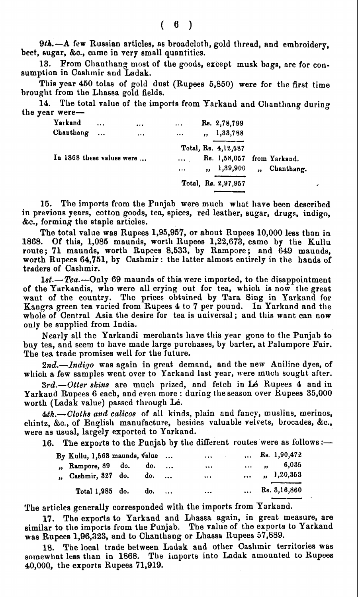9th.-A few Russian articles, as broadcloth, gold thread, and embroidery, beet, sugar, &c., came in very small quantities.

13. From Chanthang most of the goods, except musk bags, are for consumption in Cashmir and Ladak.

This year 450 tolas of gold dust (Rupees 5,850) were for the first time brought from the Lhassa gold fields.

14. The total value of the imports from Yarkand and Chanthang during the year were-

| Yarkand<br>Chanthang      | $\cdots$<br>$\cdots$ | $\cdots$<br>$\cdots$ | $\cdots$<br>$\cdots$ | Rs. 2,78,799<br>, 1, 33, 788                                    |              |            |   |
|---------------------------|----------------------|----------------------|----------------------|-----------------------------------------------------------------|--------------|------------|---|
| In 1868 these values were |                      |                      | $\cdots$<br>$\cdots$ | Total, Rs. 4,12,587<br>Rs. 1,58,057 from Yarkand.<br>, 1,39,900 | $\mathbf{a}$ | Chanthang. |   |
|                           |                      |                      |                      | Total, Rs. 2,97,957                                             |              |            | , |

**15.** The imports from the Punjab were much what have been described in previous years, cotton goods, tea, spices, red leather, sugar, drugs, indigo, &C., forming the staple articles.

The total value was Rupees 1,95,957, or about Rupees 10,000 less than in 1868. Of this, 1,085 maunds, worth Rupees 1,22,673, came by the Kullu Of this,  $1,085$  maunds, worth Rupees  $1,22,673$ , came by the Kullu route; 71 maunds, worth Rupees 8,533, by Rampore; and 649 maunds, worth Rupees 64,751, by Cashmir: the latter almost entirely in the hands of traders of Cashmir.

 $1st. -Tea. - Only 69$  maunds of this were imported, to the disappointment of the Yurkandis, who were all crying out for tea, which is now the great want of the country. The prices obtained by Tara Sing in Yarkand for Kangra green tea varied from Rupees 4 to **7** per pound. In Yarkand and **the**  whole of Central Asia the desire for tea is universal ; and this want can now only be supplied from India.

Nearly all the Yarkandi merchants have this year gone to the Punjab to buy tea, and seem to have made large purchases, by barter, at Palumpore Fair. The tea trade promises well for the future.

2nd.-Indigo was again in great demand, and the new Aniline dyes, of which a few samples went over to Yarkand last year, were much sought after.

3rd.-Otter skins are much prized, and fetch in Lé Rupees 4 and in Yarkand Rupees 6 each, and even more : during the season over Rupees 35,000 worth (Ladak value) passed through Lé.

*4th.-Cloths and calicos* of all kinds, plain and fancy, muslins, merinos, chintz, **&C.,** of English manufacture, besides valuable velvets, brocades, &C., were as usual, largely exported to Yarkand.

16. The exports to the Punjab by the different routes were as follows :-

| By Kullu, 1,568 maunds, value |  | $\cdots$ | $\ldots$ Rs. 1,90,472       |
|-------------------------------|--|----------|-----------------------------|
| " Rampore, 89 do. do.         |  | $\cdots$ | $\ldots$ , $\ldots$ , 6,035 |
| " Cashmir, 327 do. do.        |  | $\cdots$ | $\ldots$ , $1,20,353$       |
| Total 1,985 do. do.           |  | $\cdots$ | $\ldots$ Rs. 3,16,860       |

The articles generally corresponded with the imports from Yarkand.

17. The exports to Yarkand and Lhassa again, in great measure, are similar to the imports from the Punjab. The value of the exports to Yarkand was Rupees 1,96,323, and to Chanthang or Lhassa Rupees 57,889.

The local trade between Ladak and other Cashmir territories was somewhat less than in 1868. The imports into Ladak amounted to Rupees 40,000, the exports Rupees 71,919.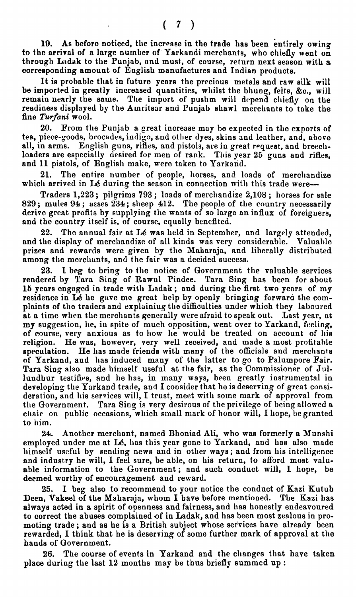19. As before noticed, the increase in the trade has been entirely owing to the arrival of a large nurnber of Yarkandi merchants, who chiefly went on through Ladak to the Punjab, and must, of course, return next season with a corresponding amount of English manufactures and Indian products.

It is probable that in future years the precious metals and raw silk will be imported in greatly increased quantities, whilst the bhung, felts, &c., will remain nearly the same. The import of pushm will depend chiefly on the readiness displayed by the Amritsar and Punjab shawl merchants to take the fine **Turfani** wool.

**20.** Prom the Punjab a great increase may he expected in the exports of tea, piece-goods, brocades, indigo, and other dyes, skins and leather, and, above all, in arms. English guns, rifles, and pistols, are in great request, and breechloaders are especially desired for men of rank. This year **26** guns and rifles, and 11 pistols, of English make, were taken to Yarkand.

**21.** The entire number of people, horses, and loads of merchandize which arrived in Lé during the season in connection with this trade were-

Traders 1,223; pilgrims 793; loads of merchandize 2,108; horses for sale **<sup>829</sup>**; mules **<sup>94</sup>**; asses 234 ; slreep 412. The people of the country necessarily derive great profits by supplying the wants of so large an influx of foreigners, and the country itself is, of course, equally benefited.

**22.** The annual fair at **L6** was held in September, and largely attended, and the display of merchandize of all kinds was very considerable. Valuable prizes and rewards were given by the Maharaja, and liberally distributed among the merchants, and the fair was a decided success.

**23.** I beg to bring to the notice of Government the valuable services rendered by Tara Sing of Rawul Pindee. Tara Sing has been for about **16** years engaged in trade with Ladak; and during the first **two** years of my residence in **L6** he gave me great help by openly bringing forwara the complaints of the traders and explaining the difficulties under which they laboured at a time when the merchants generally were afraid to speak out. Last year, at my suggestion, he, in spite of much opposition, went over to Yarkand, feeling, of course, very anxious as to how he would be treated on account of his religion. He was, however, very well received, and made a most profitable speculation. He has made friends with many of the officials and merchants He has made friends with many of the officials and merchants of Yarkand, and has induced many of the latter to go to Palumpore Fair. Tara Sing also made hirnself useful at the fair, as the Commissioner of Jullundhur testifies, and he has, in many ways, been greatly instrumental in developing the Yarkand trade, and I consider that he is deserving of great consideration, and his services will, I trust, meet with some mark of approval from the Government. Tara Sing is very desirous of the privilege of being allowed a chair on public occasions, which small mark of honor will, I hope, be granted to him.

**24.** Another merchant, named Bhoniad Ali, who was formerly a Munshi employed under me at Lé, has this year gone to Yarkand, and has also made himself useful by sending news and in other ways; and from his intelligence and industry he will, I feel sure, be able, on his return, to afford most valuable information to the Government; and such conduct will, I hope, be deemed worthy of encouragement and reward.

**25.** I beg also to recommend to your notice the conduct of Kazi Kutub Deen, Vakeel of the Maharaja, whom I have before mentioned. The Kazi has always acted in a spirit of openness and fairness, and has honestly endeavoured to correct the abuses complained of in Ladak, and has been most zealous in promoting trade; and as he is a British subject whose services have already been rewarded, I think that he is deserving of some further mark of approval at the hands of Government.

The course of events in Yarkand and the changes that have taken place during the last 12 months may be thus briefly summed up :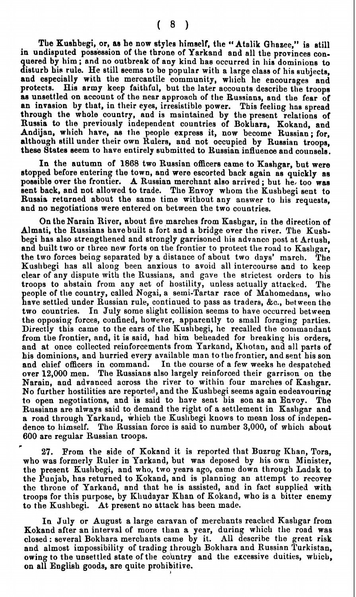**The** Kushbegi, or, **ae** he now styles himaelf, the "Atalik Qhazee," is still in undisputed possession of the throne of Yarkand and all the provinces conquered by him; and no outbreak of any kind has occurred in his dominions to disturb his rule. He still seems to be popular with a large class of his subjects, and especially with the mercantile community, which he encourages and protects. His army keep faithful, but the later accounts describe the troops as unsettled on account of the near approach of the Russians, and the fear of an invasion by that, in their **eyes,** irresistible power. This feeling has spread through the whole country, and is maintained by the present relations of Russia to the previously independent countries of Bokhara, Kokand, and Andijan, which have, **as the** people express it, now become Russian; for, although still under their own Rulers, and not occupied by Russian troops, these States seem to have entirely submitted to Russian influence and counsels.

In the autumn of 1868 two Russian officers came to Kashgar, but were stopped before entering the town, and were escorted back again as quickly as possible over the frontier. A Russian merchant also arrived ; but **he,** too was sent back, and not allowed to trade. The Envoy whom the Kushbegi sent to Russia returned about the same time without any answer to his requests, and no negotiations were entered on between the two countries.

On the Narain River, about five marches from Kashgar, in the direction of Almati, the Russians have built a fort and a bridge over the river. The Kushbegi has also strengthened and strongly garrisoned his advanco post at Artush, and built two or three new forts on the frontier to protect the road to Kashgar, the two forces being separated by a distance of about two days' march. The Kushbegi has all along been anxious to avoid all intercourse and to keep clear of any dispute with the Russians, and gave the strictest orders to his troops to abstain from any act of hostility, unless actually attacked. The people of tlie country, called Nogai, a semi-Tartar race of Mahomedane, who have settled under Russian rule, continued to pass as traders, **&C.,** between the In July some slight collision seems to have occurred between the opposing forces, confined, however, apparently to small foraging parties. Directly this came to the ears of the Kushbegi, he recalled the commandant from the frontier, and, it is said, had him beheaded for breaking his orders, and at once collected reinforcements from Yarkand, Khotan, and all parts of his dominions, and hurried every available man to the frontier, and sent his son and chief officers in command. In the course of a few weeks he despatched over 12,000 men. The Russians also largely reinforced their garrison on the Narain, and advanced across the river to within four marches of Kashgar. No further hostilities are reported, and the Kushbegi seems again endeavouring to open negotiations, and is said to have sent bis son as an Envoy. The Russians are always said to demand the right of a settlement in Kashgar and a road through Yarkaud, which the Kusllbegi knows to mean loss of independence to himself. The Russian force is said to number 3,000, of which about 600 are regular Russian troops.

**F 27.** From the aide of Kokand it is reported that Buzrug Khan, Tora, who was formerly Ruler in Yarkand, but was deposed by his own Minister, the present Kusllbegi, and who, two years ago, came down through Ladak to the Punjab, has returned to Kokand, and is planning an attempt to recover the throne of Yarkand, and that he is assisted, and in fact supplied with troops for this purpose, by IClludayar Khan of Kokand, who is a bitter enemy to the Kushbegi. At present no attack has been made.

In July or August a large caravan of merchants reached Kashgar from Kokand after an interval of more than a year, during which the road was closed : several Bokhara merchants came by it. **All** describe the great risk and almost impossibility of trading through Bokhara and Russian Turkistan, owing to the unsettled state of the country and the excessive duities, which, on all English goods, are quite prohibitive.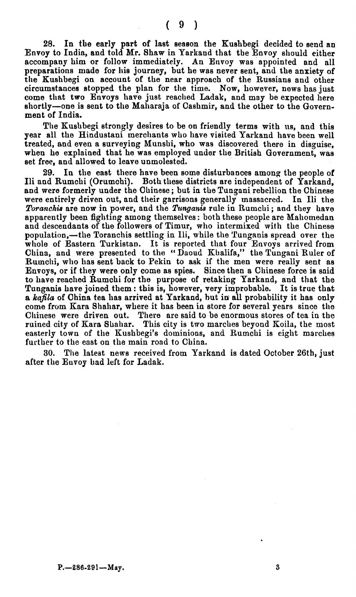**28.** In the early part of last seaeon the Kushbegi decided to send an Envoy to India, and told Mr. Shaw in Yarkand that the Envoy should either accompany him or follow immediately. An Envoy was appointed and all preparations made for his journey, but he was never sent, and the anxiety of **the** Kushbegi on account of the near approach of the Russians and other circumstancee stopped the plan for the time. Now, however, news has just come that two Envoys have just reached Ladak, and may be expected here shortly-one is sent to the Maharaja of Cashmir, and the other to the Government of India.

The Kushbegi strongly desires to be on friendly terms with us, and thia year all the Hindustani merchants who have visited Yarkand have been well treated, and even a surveying Munshi, who was discovered there in disguise, when he explained that he was employed under the British Government, was set free, and allowed to leave unmolested.

**29.** In the east there have been some disturbances among the people of Ili and Rumchi (Orumchi). Both these districts are independent of Yarkand, and were formerly under the Ohinese ; but in the Tungani rebellion the Chinese were entirely driven out, and their garrisons generally massacred. In Ili the *Toranchis* are now in power, and the *Tunganis* rule in Rumchi; and they have apparently been fighting among themselves : both these people are Mahomedan and descendants of the followers of Timur, who intermixed with the Chinese population,- the Toranchis settling in Ili, while the Tunganis spread over the whole of Eastern Turkistan. It is reported that four Envoys arrived from China, and were presented to the " Daoud Khalifa," the Tungani Ruler of Rumchi, who has sent back to Pekin to ask if the men were really sent as Envoys, or if they were only come as spies. Since then a Chinese force is said to have reached Rumchi for the purpose of retaking Yarkand, and that the Tunganis have joined them : this is, however, very improbable. It is true that a *kafila* of China tea has arrived at Yarkand, but in all probability it has only come from Kara **Shahar,** where it has been in store for several years since the Chinese were driven out. There are said to be enormous stores of tea in the ruined city of Kara Shahar. This city is two marches beyond Koila, the most easterly town of the Kushbegi's dominions, and Rumchi is eight marches further to the east on the main road to China.

The latest news received from Yarkand is dated October 26th, just after the Euvoy had left for Ladak.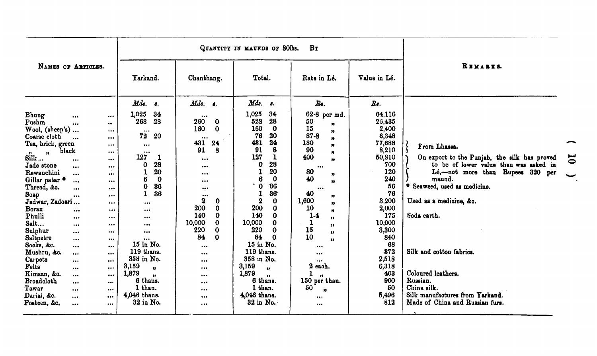|                                                                                                                                                                                                                                                                                                                                                                                                                                                                                                                                                                                                                                                                                                                                                                                                                                                                                                                                                                                                                                                                                                         |                                                                                                                                                                                                                                                                                                                                                             |                                                                                                                                                                                                                                                                                                                                        | QUANTITY IN MAUNDS OF 801bs.                                                                                                                                                                                                                                                                                                                                                                                                                                              | $B\tau$                                                                                                                                                                                                                                                                                                                                                                                                                                                                               |                                                                                                                                                                                                                               |                                                                                                                                                                                                                                                                                                                                                                                          |
|---------------------------------------------------------------------------------------------------------------------------------------------------------------------------------------------------------------------------------------------------------------------------------------------------------------------------------------------------------------------------------------------------------------------------------------------------------------------------------------------------------------------------------------------------------------------------------------------------------------------------------------------------------------------------------------------------------------------------------------------------------------------------------------------------------------------------------------------------------------------------------------------------------------------------------------------------------------------------------------------------------------------------------------------------------------------------------------------------------|-------------------------------------------------------------------------------------------------------------------------------------------------------------------------------------------------------------------------------------------------------------------------------------------------------------------------------------------------------------|----------------------------------------------------------------------------------------------------------------------------------------------------------------------------------------------------------------------------------------------------------------------------------------------------------------------------------------|---------------------------------------------------------------------------------------------------------------------------------------------------------------------------------------------------------------------------------------------------------------------------------------------------------------------------------------------------------------------------------------------------------------------------------------------------------------------------|---------------------------------------------------------------------------------------------------------------------------------------------------------------------------------------------------------------------------------------------------------------------------------------------------------------------------------------------------------------------------------------------------------------------------------------------------------------------------------------|-------------------------------------------------------------------------------------------------------------------------------------------------------------------------------------------------------------------------------|------------------------------------------------------------------------------------------------------------------------------------------------------------------------------------------------------------------------------------------------------------------------------------------------------------------------------------------------------------------------------------------|
| NAMES OF ARTICLES.                                                                                                                                                                                                                                                                                                                                                                                                                                                                                                                                                                                                                                                                                                                                                                                                                                                                                                                                                                                                                                                                                      | Yarkand.                                                                                                                                                                                                                                                                                                                                                    | Chanthang.                                                                                                                                                                                                                                                                                                                             | Total.                                                                                                                                                                                                                                                                                                                                                                                                                                                                    | Rate in Lé.                                                                                                                                                                                                                                                                                                                                                                                                                                                                           | Value in Lé.                                                                                                                                                                                                                  | REMARKS.                                                                                                                                                                                                                                                                                                                                                                                 |
| Bhung<br><br><br>Pushm<br>$\bullet\bullet$<br>$\cdots$<br>Wood, (sheep's)<br>$\cdots$<br>Coarse cloth<br>$\ddotsc$<br><br>Tea, brick, green<br>$\cdots$<br>black<br>$\cdots$<br>$\mathbf{r}$<br>n<br>Silk<br><br>$\cdots$<br>Jade stone<br>$\cdots$<br>$\cdots$<br>Rewanchini<br><br>$\cdots$<br>Gillar patar $\bullet$<br>$\cdots$<br>$\cdots$<br>Thread, &o.<br><br>$\begin{array}{ccc} \bullet & \bullet & \bullet \end{array}$<br>Soap<br>$\cdots$<br>$\cdots$<br>Jadwar, Zadoari<br>$\cdots$<br><b>Borax</b><br>$\bullet\bullet\bullet$<br>$\cdots$<br>Phulli<br>$\bullet$ or $\bullet$<br>$\cdots$<br>Salt<br>$\begin{array}{ccc} \bullet & \bullet & \bullet \end{array}$<br><br>Sulphur<br>$\cdots$<br>$\cdots$<br>Saltpetre<br>$\cdots$<br>$\cdots$<br>Socks, &c.<br>$\cdots$<br>$\cdots$<br>Mushru, &c.<br><br>$\cdots$<br>Carpets<br><br>$\cdots$<br>Felts<br><br><br>Kimsan, &o.<br>$\cdots$<br>$\cdots$<br><b>Broadcloth</b><br>$\cdots$<br>$\cdots$<br>Tawar<br>$\cdots$<br>$\cdots$<br>Dariai, &c.<br>$\cdots$<br>$\begin{array}{ccc} \bullet & \bullet & \bullet & \bullet \end{array}$ | $Mds.$ $s.$<br>1,025<br>34<br>28<br>268<br>$\cdots$<br>72<br>20<br>$\cdots$<br><br>127<br>1<br>28<br>0<br>20<br>1<br>$\boldsymbol{0}$<br>6<br>36<br>0<br>36<br>1<br><br><br><br>$\cdots$<br><br>$\cdots$<br>15 in No.<br>119 thans.<br>358 in No.<br>3,159<br>$\mathbf{v}$<br>1,879<br>$\bullet\bullet$<br>6 thans.<br>1 than.<br>4,046 thans.<br>32 in No. | Mds. s.<br>$\cdots$<br>260<br>$\mathbf 0$<br>160<br>$\bf{0}$<br><br>431<br>24<br>91<br>8<br>$\cdots$<br><br>$\cdots$<br>$\cdots$<br>$\bullet\bullet\bullet$<br><br>2<br>0<br>200<br>0<br>140<br>0<br>10,000<br>0<br>220<br>0<br>84<br>$\bf{0}$<br>$\cdots$<br>$\cdots$<br>$\cdots$<br>$\cdots$<br><br>$\cdots$<br>$\cdots$<br>$\cdots$ | Mds.<br>8.<br>1,025<br>34<br>28<br>528<br>160<br>$\mathbf 0$<br>20<br>76<br>431<br>24<br>91<br>8<br>127<br>1<br>28<br>$\mathbf o$<br>20<br>1<br>$\boldsymbol{6}$<br>$\bf{0}$<br>36<br>$\mathbf{0}^{\cdot}$<br>36<br>1<br>$\boldsymbol{2}$<br>$\mathbf 0$<br>200<br>$\Omega$<br>140<br>0<br>10,000<br>0<br>220<br>0<br>84<br>0<br>15 in No.<br>119 thans.<br>358 in No.<br>3,159<br>$\bullet$<br>1,879<br>$\mathbf{r}$<br>6 thans.<br>1 than.<br>4,046 thans.<br>32 in No. | $\boldsymbol{B}$ s.<br>$62 - 8$<br>per md.<br>50<br>$\bullet$<br>15<br>"<br>$87 - 8$<br>$\mathbf{v}$<br>180<br>$\boldsymbol{\mathfrak{p}}$<br>90<br>$\boldsymbol{m}$<br>400<br>$\mathbf{r}$<br>$\cdots$<br>80<br>n<br>40<br>$\overline{\mathbf{v}}$<br>$\cdots$<br>40<br>"<br>1,600<br>,,<br>10<br>$\boldsymbol{\pi}$<br>$1-4$<br>,,<br>1<br>"<br>15<br>"<br>10<br>99.<br><br>$\cdots$<br>$\cdots$<br>2 each.<br>1<br>$\mathbf{r}$<br>150 per than.<br>50<br>$\mathbf{H}$<br>$\cdots$ | Rs.<br>64,116<br>26,435<br>2,400<br>6,348<br>77,688<br>8,210<br>50,810<br>700<br>120<br>240<br>56<br>76<br>3,200<br>2,000<br>175<br>10,000<br>3,300<br>840<br>68<br>372<br>2,518<br>6,318<br>403<br>900<br>50<br>5,496<br>812 | From Lhassa.<br>On export to the Punjab, the silk has proved<br>ā<br>to be of lower value than was asked in<br>Lé,-not more than Rupees 320<br>per<br>maund.<br>* Seaweed, used as medicine.<br>Used as a medicine, &c.<br>Soda earth.<br>Silk and cotton fabrics.<br>Coloured leathers.<br>Russian.<br>China silk.<br>Silk manufactures from Yarkand.<br>Made of China and Russian furs |
| Posteen, &c.<br>$\cdots$<br>                                                                                                                                                                                                                                                                                                                                                                                                                                                                                                                                                                                                                                                                                                                                                                                                                                                                                                                                                                                                                                                                            |                                                                                                                                                                                                                                                                                                                                                             | $\cdots$                                                                                                                                                                                                                                                                                                                               |                                                                                                                                                                                                                                                                                                                                                                                                                                                                           | $\cdots$                                                                                                                                                                                                                                                                                                                                                                                                                                                                              |                                                                                                                                                                                                                               |                                                                                                                                                                                                                                                                                                                                                                                          |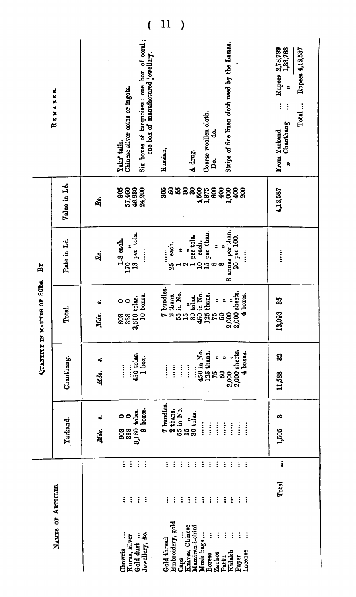|                              | REMARKS.           | Six boxes of turquoises: one box of coral;<br>one box of manufactured jewellery.<br>Chinese silver coins or ingots.<br>Yaks' tails. | Strips of fine linen cloth used by the Lamas.<br>Coarse woollen cloth.<br>ဒ္ဓ<br>Russian.<br>A drug.<br>ρ.<br>                                                                                                                      | Rupees 2,78,799<br>n<br>1,33,788<br>Rupees 4,12,587<br>÷<br>$\vdots$<br>Total<br>$\vdots$<br>Chanthang<br>From Yarkand<br>2 |
|------------------------------|--------------------|-------------------------------------------------------------------------------------------------------------------------------------|-------------------------------------------------------------------------------------------------------------------------------------------------------------------------------------------------------------------------------------|-----------------------------------------------------------------------------------------------------------------------------|
|                              | Value in Lé.       | 57,460<br>46,930<br>806<br>24,200<br>Ż.                                                                                             | នន<br>60 <sup>4</sup><br>306<br>ន<br>3<br>600<br>60<br>1,000<br>4,500<br>1,875<br>200                                                                                                                                               | 4,12,587                                                                                                                    |
| $\mathbf{B}$ r               | Rate in Lé.        | $13$ per tola.<br>1-8 each.<br>Βs.<br>170                                                                                           | 8 annas per than.<br>10 each.<br>15 per than.<br>$\frac{2}{1}$ per tola.<br>20 per 100.<br>each.<br>$\ddot{ }$<br>$\ddot{\phantom{0}}$<br>$\vdots$<br>2<br>$\infty$<br>35                                                           | $\ddot{•}$                                                                                                                  |
| QUANTITY IN MAUNDS OF 80ths. | Total.             | 10 boxes.<br>3,610 tolas.<br>$\circ$<br>$\ddot{\phantom{a}}$<br>Mds.<br>338<br>603                                                  | 7 bundles.<br>$2,000, 7, 2,000$ sheets.<br>55 in No.<br>450 in No.<br>2 thans.<br>125 thans.<br>$4$ boxes.<br>12<br>30 tolas.<br>R<br>÷,<br>$\overline{15}$<br>75<br>50                                                             | 85<br>13,093                                                                                                                |
|                              | Chanthang.         | 450 tolas.<br>1 box.<br><br>$\vdots$<br>$\vdots$<br>Hds.                                                                            | 450 in No.<br>$125$ thans.<br>$75$ $\qquad$<br>$2,000$ $$<br>$2,000$ sheets.<br>4 boxes.<br>$\ddot{\mathbf{z}}$<br>$\boldsymbol{z}$<br>$\ddot{\ddot{\cdot}}$<br>$\ddot{\ddot{\cdot}}$<br>$\ddot{}$<br>$\ddot{}$<br>$\ddot{z}$<br>50 | 32<br>11,588                                                                                                                |
|                              | Yarkand.           | $9$ boxes.<br>3,160 tolas.<br>$\circ$<br>$\bullet$<br>$\ddot{\bullet}$<br>338<br>Mds.<br>603                                        | 7 bundles.<br>55 in No.<br>2 thans.<br>າ."<br>30 tol <b>as.</b><br>$\ddot{z}$<br>$\vdots$<br>$\vdots$<br>$\vdots$<br>$\vdots$<br>$\ddot{\ddot{\cdot}}$<br>$\ddot{\ddot{\cdot}}$<br>$\mathbf{E}$                                     | ಣ<br>1,505                                                                                                                  |
|                              |                    | $\vdots$<br>$\vdots$<br>$\ddot{\phantom{a}}$<br>$\ddot{\cdot}$                                                                      | $\ddot{\cdot}$<br>$\ddot{\cdot}$<br>$\vdots$<br>$\vdots$<br>$\vdots$<br>$\ddot{\cdot}$<br>$\vdots$<br>$\ddot{\cdot}$<br>$\vdots$<br>$\vdots$<br>$\vdots$<br>$\ddot{\cdot}$                                                          | $\pmb{\mathring{\mathbf{i}}}$                                                                                               |
|                              | NAMES OF ARTICLES. | $\vdots$<br>$\vdots$<br>$\vdots$<br>÷                                                                                               | $\vdots$<br>$\ddot{\phantom{a}}$<br>$\ddot{\cdot}$<br>$\vdots$<br>$\ddot{\cdot}$<br>$\vdots$<br>$\ddot{\cdot}$<br>$\ddot{\cdot}$<br>$\vdots$<br>$\ddot{\cdot}$<br>$\vdots$<br>$\vdots$                                              | Total                                                                                                                       |
|                              |                    | Jewellery, &c.<br>Gold dust<br>Kurus, silver<br>Chowris                                                                             | Embroidery, gold<br>Knives, Chinese<br>Mamiran-i-chini<br>$\vdots$<br>$\vdots$<br>$\ddot{\cdot}$<br>$\vdots$<br>Musk bags<br>$\vdots$<br>Gold thread<br>Incense<br>Kidakh<br>Zankos<br>Borese<br>Pattu<br>Paper<br>Caps             |                                                                                                                             |

 $(11)$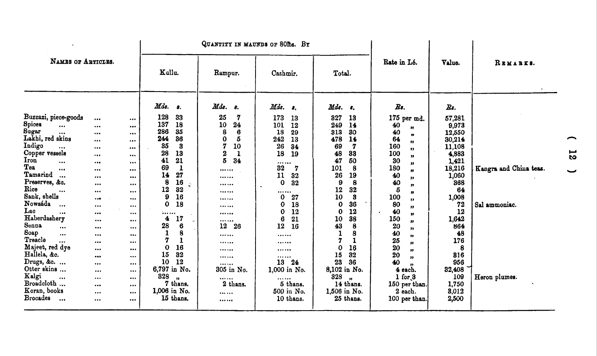|                                                 |                         | QUANTITY IN MAUNDS OF 80Ths. BY |                     |                        |                        |                   |                           |                     |                        |
|-------------------------------------------------|-------------------------|---------------------------------|---------------------|------------------------|------------------------|-------------------|---------------------------|---------------------|------------------------|
| NAMES OF ARTICLES.                              |                         |                                 | Kullu.              | Rampur.                | Cashmir.               | Total.            | Rate in Lé.               | Value.              | REMARKS.               |
|                                                 |                         |                                 | Mds.<br>-8.         | Mds.<br>$\mathbf{s}$ . | Mds.<br>$\mathbf{s}_i$ | Mds. s.           | $Rs$ .                    | $\boldsymbol{R}$ s. |                        |
| Buzzazi, piece-goods                            | $\cdots$                | $\cdots$                        | 128<br>33           | 25<br>7                | 173<br>13              | 327<br>13         | 175 per md.               | 57,281              |                        |
| Spices<br>                                      | $\cdots$                | $\cdots$                        | 137<br>18           | 10<br>24               | 101<br>12              | 249<br>14         | 40<br>$\boldsymbol{\eta}$ | 9,973               |                        |
| Sugar<br>$\cdots$                               |                         |                                 | 286<br>35           | 8<br>6                 | 18<br>29               | 313<br>30         | 40<br>$\mathbf{r}$        | 12,550              |                        |
| Lakhi, red skins                                | $\cdots$                | $\cdots$                        | 244<br>36           | 0<br>5                 | 242<br>13              | 478<br>14         | 64<br>,,                  | 30,214              |                        |
| Indigo<br>$\cdots$                              | $\cdots$                |                                 | 35<br>$\bf{3}$      | 7<br>10                | 26<br>34               | 69<br>7           | 160<br>17                 | 11,108              |                        |
| Copper vessels                                  | $\cdots$                |                                 | 28<br>13            | $\overline{2}$<br>1    | 18<br>19               | 48<br>83          | 100<br>,,                 | 4,883               |                        |
| Iron<br>$\cdots$                                |                         | $\cdots$                        | 21<br>41            | 5<br>34                |                        | 47<br>50          | 30<br>"                   | 1,421               |                        |
| Tea<br>$\cdots$                                 | $\cdots$                | $\cdots$                        | 69<br>1             |                        | 32<br>7                | 101<br>8          | 180<br>n                  | 18,216              | Kangra and China teas. |
| Tamarind<br>$\ddotsc$                           | $\cdots$                |                                 | 14<br>27            |                        | 11<br>32               | 26<br>19          | 40<br>,,                  | 1,060               |                        |
| Preserves, &c.                                  |                         | $\cdots$                        | 8<br>16<br>Ø.       |                        | $\mathbf 0$<br>32      | 9<br>8            | 40<br>n                   | 368                 |                        |
| Rice<br>$\bullet\bullet\bullet$                 | $\cdots$                | $\cdots$                        | 12<br>32            |                        |                        | 12<br>32          | б<br>n                    | 64                  |                        |
| Sank, shells                                    |                         |                                 | 9<br>16             |                        | 0<br>27                | 10<br>3           | 100<br>,,                 | 1,008               |                        |
| Nowsáda<br>$\cdots$                             |                         | $\cdots$                        | 0<br>18             |                        | 0<br>18                | $\bf{0}$<br>36    | 80<br>,,                  | 72                  | Sal ammoniac.          |
| Lac<br>$\cdots$                                 | $\cdots$                | $\bullet\bullet\bullet$         |                     |                        | 0<br>12                | $\bf{0}$<br>12    | 40<br>,,                  | 12                  |                        |
| Haberdashery                                    | $\bullet\bullet\bullet$ |                                 | 4<br>17             |                        | 6<br>21                | 38<br>10          | 150<br>"                  | 1,642               |                        |
| <b>Senna</b><br>$\bullet$ .<br><br><br><br><br> | $\cdots$                | $\bullet\bullet\bullet$         | 28<br>6             | 26<br>12               | 12<br>16               | 43<br>8           | 20<br>,,                  | 864                 |                        |
| Soap<br>$\cdots$                                | $\cdots$                | $\cdots$                        | $\mathbf{1}$<br>8   |                        |                        | $\mathbf{1}$<br>8 | 40<br>,,                  | 48                  |                        |
| Treacle<br>$\cdots$                             | $\bullet\bullet\bullet$ | $\cdots$                        | 7<br>$\mathbf{I}$   |                        |                        | 7<br>1            | 25<br>,,                  | 176                 |                        |
| Majeet, red dye                                 |                         |                                 | 16<br>0             |                        |                        | 16<br>0           | 20<br>"                   | 8                   |                        |
| Hallela, &c.                                    |                         | $\cdots$                        | 32<br>15            |                        |                        | 32<br>15          | 20<br>,                   | 816                 |                        |
| Drugs, &c.                                      | $\cdots$                | $\cdots$                        | 10<br>12            |                        | 24<br>13               | 23<br>36          | 40                        | 956                 |                        |
| Otter skins                                     |                         | $\cdots$                        | 6,797 in No.        | 305 in No.             | 1,000 in No.           | 8,102 in No.      | 4 each.                   | 32,408              |                        |
| Kalgi<br>$\cdots$                               | $\cdots$                | $\cdots$                        | 828<br>$\mathbf{u}$ |                        |                        | 328               | $1$ for $3$               | 109                 | Heron plumes.          |
| Broadcloth                                      | $\bullet\bullet\bullet$ | $\cdots$                        | 7 thans.            | 2 thans.               | 5 thans.               | 14 thans.         | 150 per than.             | 1,750               |                        |
| Koran, books                                    | $\cdots$                | $\cdots$                        | 1,006 in No.        |                        | 500 in No.             | 1,506 in No.      | 2 each.                   | 8,012               |                        |
| <b>Brocades</b><br>$\bullet\bullet\bullet$      | $\bullet\bullet\bullet$ | $\cdots$                        | 15 thans.           |                        | 10 thans.              | 25 thans.         | 100 per than.             | 2,500               |                        |
|                                                 |                         |                                 |                     |                        |                        |                   |                           |                     |                        |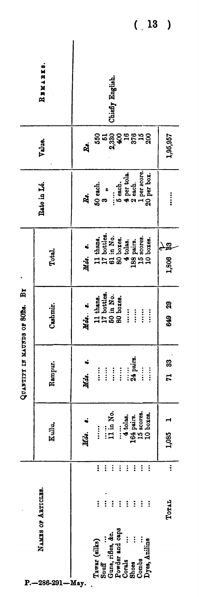|                                | REMARKS.           |         |                                                                                                        |                   | Chiefly English.      |                                      |                      |                                                            |            |                                                                         |             |  |
|--------------------------------|--------------------|---------|--------------------------------------------------------------------------------------------------------|-------------------|-----------------------|--------------------------------------|----------------------|------------------------------------------------------------|------------|-------------------------------------------------------------------------|-------------|--|
|                                | Value.             | ឆ្នំ    |                                                                                                        |                   |                       |                                      |                      | <b>ភូ</b><br>ភូនី ខ្លួន មន្ត្រី ដូនី<br>ស្ថិត មន្ត្រី ដូនី |            |                                                                         | 1,95,957    |  |
|                                | Rate in Lé.        | Ř.      | 50 each.                                                                                               | က်<br>က           | $\vdots$              | $5$ each.                            |                      | 4 per tola.<br>2 each.                                     |            | $\begin{array}{c} \text{1 per score.}\\ \text{20 per box.} \end{array}$ | $\ddot{}$   |  |
|                                | Total.             | Mds. s. | 11 thans,<br>17 bottles,<br>61 in No.<br>60 boxes,<br>4 tolas,<br>4 tolas,<br>18 scores.<br>15 scores. |                   |                       |                                      |                      |                                                            |            | 10 boxes.                                                               | සි<br>1,806 |  |
| QUANTITY IN MAUNDS OF SODS. BY | Cashmir.           | Mds. s. | 11 thans.<br>17 bottles.<br>50 in No.<br>80 boxes.                                                     |                   |                       |                                      | $\ddot{}$            | $\ddot{\ddot{\cdot}}$                                      | $\vdots$   | $\vdots$                                                                | 649 29      |  |
|                                | Rampur.            | Mds.    | $\ddot{\ddot{\cdot}}$                                                                                  | $\vdots$          |                       | $\vdots$                             |                      | 24 pairs.                                                  | $\ddot{}}$ | $\ddot{}}$                                                              | 71 83       |  |
|                                | Kullu,             | Mds. s. | $\vdots$                                                                                               |                   | $\lim_{n \to \infty}$ |                                      | $\frac{1}{4}$ tolas. | 164 pairs.<br>15 scores.                                   |            | 10 boxes.                                                               | 1,085 1     |  |
|                                |                    |         | $\vdots$                                                                                               | $\ddot{\cdot}$    | $\vdots$              | $\ddot{\cdot}$                       | $\vdots$             | $\vdots$                                                   | $\vdots$   | $\vdots$                                                                | $\vdots$    |  |
|                                | NAMES OF ABTICLES. |         | $\vdots$                                                                                               | $\ddot{\cdot}$    | $\vdots$              | $\vdots$                             | $\ddot{\cdot}$       | $\ddot{\cdot}$                                             | $\vdots$   | $\vdots$                                                                | Toral       |  |
| ₽.                             | $-286-291 - May.$  |         | Tawar (silks)                                                                                          | S <sub>nuff</sub> |                       | Guns, rifles, &c.<br>Powder and caps | $\vdots$<br>Corals   | $\vdots$<br><b>Shoes</b>                                   | Combs      | Dyes, Aniline                                                           |             |  |

 $(13)$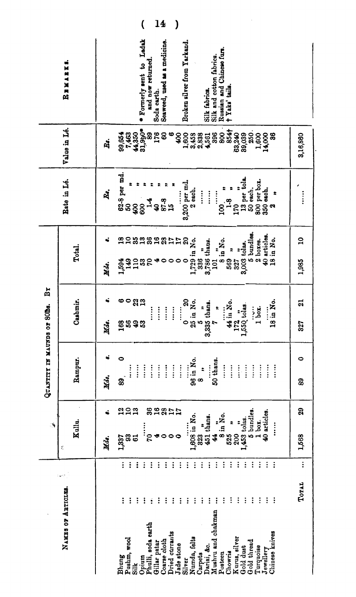| 62-8 per md.<br>13 per tola.<br>Bate in Lé.<br>800 per box.<br>350 each.<br>3,200 per md.<br>ድ<br>50 each.<br>2 each.<br>ř.<br>$\ddot{}}$<br>$\ddot{\cdot}$<br>$\frac{1}{2}$<br>$\ddot{}}$<br>$\ddot{\ddot{\cdot}}$<br>ż<br>$\frac{9}{10}$<br>$1-4$<br>្ម<br>ទូតូ អ្ន<br>8<br>170<br>800<br>\$<br>8<br>R<br>R<br>5 bundles.<br>40 articles.<br>$\mathbf{a}$<br>$\mathbf{a}$<br>35<br>$\mathbf{a}$<br>828<br>$\boldsymbol{\mathsf{S}}$<br>្ក<br>18 in No.<br>on no.<br>8 in No.<br>$\mathbf{r}$<br>2 boxes.<br>$\mathbf{r}$<br>1,729 in No.<br>3,786 thans.<br>3,003 tolas.<br>Total.<br>÷<br>336<br>$323$<br>$123$<br>$\mathfrak{a}$<br>569<br>327<br>প ⇔<br>$\circ$<br>$\circ$<br>1,985<br>1,594<br>101<br>Mds.<br>Cashmir.<br><b>ီ ၁</b> ရွက္<br>$\boldsymbol{\mathsf{a}}$<br>44 in No.<br>18 in No.<br>$\mathbf{z}$<br>25 in No.<br>335 thans.<br>$172$ $\ldots$<br>$550$ tolas.<br>£<br>$1$ bex.<br>$\vdots$<br>$\vdots$<br>$\vdots$<br>÷,<br>$\vdots$<br>$\vdots$<br>Иdя.<br>56<br><b>ូ</b><br>ទី<br><b>IQ</b><br>168<br>0<br>4<br>327<br>급<br>က<br>t,<br>0<br>0<br>Rampur.<br>96 in No.<br>50 thans.<br>$\vdots$<br>$\ddot{\ddot{\cdot}}$<br>$\vdots$<br>$\vdots$<br>$\vdots$<br>$\vdots$<br>$\vdots$<br>$\ddot{}}$<br>$\ddot{}}$<br>$\vdots$<br>$\ddot{}}$<br>$\ddot{\ddot{\cdot}}$<br>$\vdots$<br>$\ddot{\ddot{\cdot}}$<br>$\ddot{}}$<br>$\vdots$<br>$\ddot{\cdot}$<br>î,<br>Mds.<br>8<br>89<br>œ<br>36 <sub>0</sub><br>29<br>223<br>28<br>17<br>17<br>40 articles.<br>5 bundles<br>$\ddot{\bullet}$<br>1,608 in No.<br>■■<br>8 in No.<br>451 thans.<br>1,453 tolas.<br>Kullu.<br>$1$ box.<br>$\ddot{\phantom{a}}$<br>÷<br>$\vdots$<br>$\ddot{\cdot}$<br>200<br>525<br>$\bullet$<br>44<br>1,568<br><b>32</b><br>20<br>$\circ$<br>823<br>÷<br>1,337<br>Mds.<br>ľ,<br>$\vdots$<br>$\ddot{\cdot}$<br>$\vdots$<br>$\ddot{\cdot}$<br>$\vdots$<br>$\vdots$<br>$\vdots$<br>$\vdots$<br>$\vdots$<br>$\vdots$<br>$\ddot{i}$<br>$\vdots$<br>$\vdots$<br>$\vdots$<br>$\ddot{\phantom{a}}$<br>$\vdots$<br>$\vdots$<br>$\vdots$<br>$\vdots$<br>$\vdots$<br>$\vdots$<br>፡<br>$\vdots$<br>Total<br>NAMES OF ARTICLES.<br>$\vdots$<br>$\ddot{\cdot}$<br>$\vdots$<br>$\vdots$<br>$\vdots$<br>i<br>$\vdots$<br>$\vdots$<br>$\ddot{\cdot}$<br>፡<br>÷<br>$\vdots$<br>$\vdots$<br>$\vdots$<br>$\ddot{\cdot}$<br>÷<br>Ī<br>፡<br>፡<br>i<br>Ī<br>÷ |              |  | ₹, | CONDIN NI YTITKADS | $\mathbf{B}$<br>or SODs. |  |                 |                                              |    |
|------------------------------------------------------------------------------------------------------------------------------------------------------------------------------------------------------------------------------------------------------------------------------------------------------------------------------------------------------------------------------------------------------------------------------------------------------------------------------------------------------------------------------------------------------------------------------------------------------------------------------------------------------------------------------------------------------------------------------------------------------------------------------------------------------------------------------------------------------------------------------------------------------------------------------------------------------------------------------------------------------------------------------------------------------------------------------------------------------------------------------------------------------------------------------------------------------------------------------------------------------------------------------------------------------------------------------------------------------------------------------------------------------------------------------------------------------------------------------------------------------------------------------------------------------------------------------------------------------------------------------------------------------------------------------------------------------------------------------------------------------------------------------------------------------------------------------------------------------------------------------------------------------------------------------------------------------------------------------------------------------------------------------------------------------------------------------------------------------------------------------------------------------------------------------------------------------------------------------------------------------------------------------------------------------------------------------------|--------------|--|----|--------------------|--------------------------|--|-----------------|----------------------------------------------|----|
|                                                                                                                                                                                                                                                                                                                                                                                                                                                                                                                                                                                                                                                                                                                                                                                                                                                                                                                                                                                                                                                                                                                                                                                                                                                                                                                                                                                                                                                                                                                                                                                                                                                                                                                                                                                                                                                                                                                                                                                                                                                                                                                                                                                                                                                                                                                                    |              |  |    |                    |                          |  | Value in Lé.    | REMARKS.                                     |    |
| Pushm, wool                                                                                                                                                                                                                                                                                                                                                                                                                                                                                                                                                                                                                                                                                                                                                                                                                                                                                                                                                                                                                                                                                                                                                                                                                                                                                                                                                                                                                                                                                                                                                                                                                                                                                                                                                                                                                                                                                                                                                                                                                                                                                                                                                                                                                                                                                                                        |              |  |    |                    |                          |  | Re.             |                                              |    |
| Phulli, soda earth<br>Opium<br>Silk                                                                                                                                                                                                                                                                                                                                                                                                                                                                                                                                                                                                                                                                                                                                                                                                                                                                                                                                                                                                                                                                                                                                                                                                                                                                                                                                                                                                                                                                                                                                                                                                                                                                                                                                                                                                                                                                                                                                                                                                                                                                                                                                                                                                                                                                                                | Bhung        |  |    |                    |                          |  | 99,654<br>7,463 |                                              |    |
|                                                                                                                                                                                                                                                                                                                                                                                                                                                                                                                                                                                                                                                                                                                                                                                                                                                                                                                                                                                                                                                                                                                                                                                                                                                                                                                                                                                                                                                                                                                                                                                                                                                                                                                                                                                                                                                                                                                                                                                                                                                                                                                                                                                                                                                                                                                                    |              |  |    |                    |                          |  | 44,350          |                                              |    |
| Coarse cloth                                                                                                                                                                                                                                                                                                                                                                                                                                                                                                                                                                                                                                                                                                                                                                                                                                                                                                                                                                                                                                                                                                                                                                                                                                                                                                                                                                                                                                                                                                                                                                                                                                                                                                                                                                                                                                                                                                                                                                                                                                                                                                                                                                                                                                                                                                                       |              |  |    |                    |                          |  | 31,990*<br>8    | * Formerly sent to Ladak<br>and now returned |    |
| Dried currants                                                                                                                                                                                                                                                                                                                                                                                                                                                                                                                                                                                                                                                                                                                                                                                                                                                                                                                                                                                                                                                                                                                                                                                                                                                                                                                                                                                                                                                                                                                                                                                                                                                                                                                                                                                                                                                                                                                                                                                                                                                                                                                                                                                                                                                                                                                     | Gillar patar |  |    |                    |                          |  | 176             | Soda earth.                                  | 14 |
| Numda, felts<br>Jade stone<br>Silver                                                                                                                                                                                                                                                                                                                                                                                                                                                                                                                                                                                                                                                                                                                                                                                                                                                                                                                                                                                                                                                                                                                                                                                                                                                                                                                                                                                                                                                                                                                                                                                                                                                                                                                                                                                                                                                                                                                                                                                                                                                                                                                                                                                                                                                                                               |              |  |    |                    |                          |  | 8<br>$\bullet$  | Seaweed, used as a medicine.                 |    |
|                                                                                                                                                                                                                                                                                                                                                                                                                                                                                                                                                                                                                                                                                                                                                                                                                                                                                                                                                                                                                                                                                                                                                                                                                                                                                                                                                                                                                                                                                                                                                                                                                                                                                                                                                                                                                                                                                                                                                                                                                                                                                                                                                                                                                                                                                                                                    |              |  |    |                    |                          |  | 600             |                                              | )  |
| Mushru and chakman<br>Kurus, silver<br>Gold thread<br>Dariai, &c.<br>Gold dust<br>Chowris<br>Posteen<br>Carpets                                                                                                                                                                                                                                                                                                                                                                                                                                                                                                                                                                                                                                                                                                                                                                                                                                                                                                                                                                                                                                                                                                                                                                                                                                                                                                                                                                                                                                                                                                                                                                                                                                                                                                                                                                                                                                                                                                                                                                                                                                                                                                                                                                                                                    |              |  |    |                    |                          |  | 1,600<br>3,458  | Broken silver from Yarkand.                  |    |
|                                                                                                                                                                                                                                                                                                                                                                                                                                                                                                                                                                                                                                                                                                                                                                                                                                                                                                                                                                                                                                                                                                                                                                                                                                                                                                                                                                                                                                                                                                                                                                                                                                                                                                                                                                                                                                                                                                                                                                                                                                                                                                                                                                                                                                                                                                                                    |              |  |    |                    |                          |  | 2,838           |                                              |    |
|                                                                                                                                                                                                                                                                                                                                                                                                                                                                                                                                                                                                                                                                                                                                                                                                                                                                                                                                                                                                                                                                                                                                                                                                                                                                                                                                                                                                                                                                                                                                                                                                                                                                                                                                                                                                                                                                                                                                                                                                                                                                                                                                                                                                                                                                                                                                    |              |  |    |                    |                          |  | 4,561           | Silk fabrica.                                |    |
|                                                                                                                                                                                                                                                                                                                                                                                                                                                                                                                                                                                                                                                                                                                                                                                                                                                                                                                                                                                                                                                                                                                                                                                                                                                                                                                                                                                                                                                                                                                                                                                                                                                                                                                                                                                                                                                                                                                                                                                                                                                                                                                                                                                                                                                                                                                                    |              |  |    |                    |                          |  | 396             | Silk and cotton fabrics.                     |    |
|                                                                                                                                                                                                                                                                                                                                                                                                                                                                                                                                                                                                                                                                                                                                                                                                                                                                                                                                                                                                                                                                                                                                                                                                                                                                                                                                                                                                                                                                                                                                                                                                                                                                                                                                                                                                                                                                                                                                                                                                                                                                                                                                                                                                                                                                                                                                    |              |  |    |                    |                          |  | $854 +$         | Russian and Chinese furs.<br>† Yaks' tails.  |    |
|                                                                                                                                                                                                                                                                                                                                                                                                                                                                                                                                                                                                                                                                                                                                                                                                                                                                                                                                                                                                                                                                                                                                                                                                                                                                                                                                                                                                                                                                                                                                                                                                                                                                                                                                                                                                                                                                                                                                                                                                                                                                                                                                                                                                                                                                                                                                    |              |  |    |                    |                          |  | 63,240          |                                              |    |
| Chinese knives<br>Turquoise<br>Jewellery                                                                                                                                                                                                                                                                                                                                                                                                                                                                                                                                                                                                                                                                                                                                                                                                                                                                                                                                                                                                                                                                                                                                                                                                                                                                                                                                                                                                                                                                                                                                                                                                                                                                                                                                                                                                                                                                                                                                                                                                                                                                                                                                                                                                                                                                                           |              |  |    |                    |                          |  | 89,039          |                                              |    |
|                                                                                                                                                                                                                                                                                                                                                                                                                                                                                                                                                                                                                                                                                                                                                                                                                                                                                                                                                                                                                                                                                                                                                                                                                                                                                                                                                                                                                                                                                                                                                                                                                                                                                                                                                                                                                                                                                                                                                                                                                                                                                                                                                                                                                                                                                                                                    |              |  |    |                    |                          |  | 250<br>1,600    |                                              |    |
|                                                                                                                                                                                                                                                                                                                                                                                                                                                                                                                                                                                                                                                                                                                                                                                                                                                                                                                                                                                                                                                                                                                                                                                                                                                                                                                                                                                                                                                                                                                                                                                                                                                                                                                                                                                                                                                                                                                                                                                                                                                                                                                                                                                                                                                                                                                                    |              |  |    |                    |                          |  | 14,000          |                                              |    |
|                                                                                                                                                                                                                                                                                                                                                                                                                                                                                                                                                                                                                                                                                                                                                                                                                                                                                                                                                                                                                                                                                                                                                                                                                                                                                                                                                                                                                                                                                                                                                                                                                                                                                                                                                                                                                                                                                                                                                                                                                                                                                                                                                                                                                                                                                                                                    |              |  |    |                    |                          |  | æ               |                                              |    |
|                                                                                                                                                                                                                                                                                                                                                                                                                                                                                                                                                                                                                                                                                                                                                                                                                                                                                                                                                                                                                                                                                                                                                                                                                                                                                                                                                                                                                                                                                                                                                                                                                                                                                                                                                                                                                                                                                                                                                                                                                                                                                                                                                                                                                                                                                                                                    |              |  |    |                    |                          |  |                 |                                              |    |
|                                                                                                                                                                                                                                                                                                                                                                                                                                                                                                                                                                                                                                                                                                                                                                                                                                                                                                                                                                                                                                                                                                                                                                                                                                                                                                                                                                                                                                                                                                                                                                                                                                                                                                                                                                                                                                                                                                                                                                                                                                                                                                                                                                                                                                                                                                                                    |              |  |    |                    |                          |  | 3,16,860        |                                              |    |
|                                                                                                                                                                                                                                                                                                                                                                                                                                                                                                                                                                                                                                                                                                                                                                                                                                                                                                                                                                                                                                                                                                                                                                                                                                                                                                                                                                                                                                                                                                                                                                                                                                                                                                                                                                                                                                                                                                                                                                                                                                                                                                                                                                                                                                                                                                                                    |              |  |    |                    |                          |  |                 |                                              |    |

 $\label{eq:2.1} \frac{1}{\sqrt{2}}\int_{\mathbb{R}^3}\frac{1}{\sqrt{2}}\left(\frac{1}{\sqrt{2}}\right)^2\frac{1}{\sqrt{2}}\left(\frac{1}{\sqrt{2}}\right)^2\frac{1}{\sqrt{2}}\left(\frac{1}{\sqrt{2}}\right)^2.$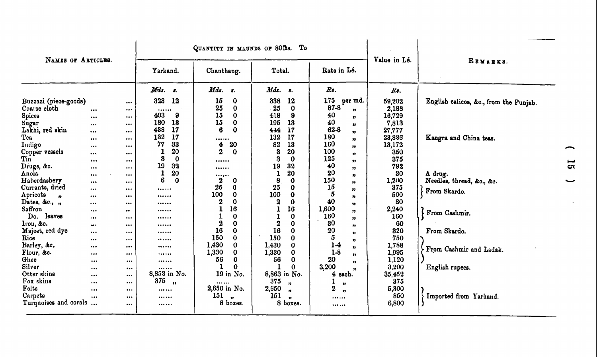| NAMES OF ARTICLES.                                                                                                                                                                          |                                                                                                             |                                                                                                                                                                                                                                                           |                                                                                                                                                         | QUANTITY IN MAUNDS OF SOIDS. To                                                                                                                                                     |                                                                                                                                                                                                                    |                                                                                                                                                                                                                                                      | Value in Lé.                                                                                                       | REMARKS.                                                                                                                 |
|---------------------------------------------------------------------------------------------------------------------------------------------------------------------------------------------|-------------------------------------------------------------------------------------------------------------|-----------------------------------------------------------------------------------------------------------------------------------------------------------------------------------------------------------------------------------------------------------|---------------------------------------------------------------------------------------------------------------------------------------------------------|-------------------------------------------------------------------------------------------------------------------------------------------------------------------------------------|--------------------------------------------------------------------------------------------------------------------------------------------------------------------------------------------------------------------|------------------------------------------------------------------------------------------------------------------------------------------------------------------------------------------------------------------------------------------------------|--------------------------------------------------------------------------------------------------------------------|--------------------------------------------------------------------------------------------------------------------------|
|                                                                                                                                                                                             |                                                                                                             |                                                                                                                                                                                                                                                           | Yarkand.                                                                                                                                                | Chanthang.                                                                                                                                                                          | Total.                                                                                                                                                                                                             | Rate in Lé.                                                                                                                                                                                                                                          |                                                                                                                    |                                                                                                                          |
|                                                                                                                                                                                             |                                                                                                             |                                                                                                                                                                                                                                                           | $\boldsymbol{M}$ ds.<br>$\bullet$                                                                                                                       | Mds.<br>8.                                                                                                                                                                          | $\mathbf{M}d\mathbf{s}.$<br>-8.                                                                                                                                                                                    | Rs.                                                                                                                                                                                                                                                  | Rs.                                                                                                                |                                                                                                                          |
| Buzzazi (piece-goods)<br>Coarse cloth<br>Spices<br>Sugar<br>Lakhi, red skin<br>Tea<br>Indigo<br>Copper vessels<br>Tin<br>Drugs, &c.<br>Anola<br>Haberdashery<br>Currants, dried<br>Apricots | $\cdots$<br>$\cdots$<br><br>$\cdots$<br><br><br><br>$\cdots$<br><br>$\bullet\bullet\bullet$<br><br>$\cdots$ | $\cdots$<br>$\cdots$<br>$\cdots$<br>$\begin{array}{cc} \bullet & \bullet & \bullet \end{array}$<br>$\cdots$<br>$\cdots$<br>$\cdots$<br><br>$\begin{array}{ccccc}\bullet & \bullet & \bullet & \bullet\end{array}$<br>$\cdots$<br>$\cdots$<br>$\cdots$<br> | 323<br>12<br><br>9<br>403<br>180<br>13<br>438<br>17<br>132<br>17<br>77<br>33<br>20<br>1<br>3<br>$\mathbf 0$<br>19<br>32<br>20<br>1<br>6<br>$\Omega$<br> | 15<br>0<br>25<br>$\bf{0}$<br>15<br>$\mathbf 0$<br>15<br>$\mathbf 0$<br>6<br>$\Omega$<br><br>20<br>4<br>$\boldsymbol{2}$<br>$\mathbf 0$<br><br><br><br>2<br>0<br>25<br>0<br>100<br>0 | 339<br>12<br>25<br>$\mathbf 0$<br>418<br>9<br>195<br>13<br>17<br>444<br>132<br>17<br>82<br>13<br>3<br>20<br>3<br>$\mathbf 0$<br>19<br>32<br>20<br>$\mathbf 1$<br>8<br>$\mathbf o$<br>25<br>0<br>100<br>$\mathbf 0$ | 175<br>per md.<br>$87 - 8$<br>$\boldsymbol{v}$<br>40<br>$\boldsymbol{\eta}$<br>40<br>,,<br>62-8<br>$\mathbf{H}$<br>180<br>"<br>160<br>"<br>100<br>,,<br>125<br>$\cdots$<br>40<br>"<br>20<br>$\boldsymbol{\eta}$<br>150<br>$\bullet$<br>15<br>,,<br>5 | 59,202<br>2,188<br>16,729<br>7,813<br>27,777<br>23,836<br>13,172<br>350<br>375<br>792<br>30<br>1,200<br>375<br>500 | English calicos, &c., from the Punjab.<br>Kangra and China teas.<br>A drug.<br>Needles, thread, &o., &c.<br>From Skardo. |
| $\bullet$<br>Dates, & $c.,$ ,<br>Saffron<br>leaves<br>Do.                                                                                                                                   | <br>$\cdots$<br><br>$\cdots$                                                                                | <br>$\bullet\bullet\bullet$<br>$\bullet\bullet$<br>$\cdots$                                                                                                                                                                                               | <br><br><br>                                                                                                                                            | 2<br>0<br>16<br>1<br>$\bf{0}$<br>1<br>$\boldsymbol{2}$<br>0                                                                                                                         | $\boldsymbol{2}$<br>$\bf{0}$<br>$\mathbf{1}$<br>16<br>0<br>$\boldsymbol{2}$<br>0                                                                                                                                   | $\boldsymbol{n}$<br>40<br>$\boldsymbol{\mathcal{D}}$<br>1,600<br>"<br>160<br>$^{\bullet}$<br>30                                                                                                                                                      | 80<br>2,240<br>160<br>60                                                                                           | From Cashmir.                                                                                                            |
| Iron, &c.<br>Majeet, red dye<br>Rice<br>Barley, &c.<br>Flour, &c.                                                                                                                           | $\sim$<br><br><br>                                                                                          | <br>$\cdots$<br>$\cdots$<br>$\cdots$                                                                                                                                                                                                                      | <br><br><br>                                                                                                                                            | 16<br>0<br>150<br>$\bf{0}$<br>1,430<br>0<br>1,330<br>0                                                                                                                              | 16<br>0<br>150<br>$\bf{0}$<br>1,430<br>0<br>1,330<br>0                                                                                                                                                             | $, \, \cdot$<br>20<br>$\mathbf{v}$<br>5<br>n<br>$1-4$<br>$\mathbf{v}$<br>$1-8$                                                                                                                                                                       | 320<br>750<br>1,788<br>1,995                                                                                       | From Skardo.<br>From Cashmir and Ladak.                                                                                  |
| Ghee<br>Silver<br>Otter skins                                                                                                                                                               | $\cdots$<br><br><br>                                                                                        | <br><br><br>$\cdots$                                                                                                                                                                                                                                      | <br><br><br>8,853 in No.                                                                                                                                | 0<br>56<br>-1<br>$\Omega$<br>19 in No.                                                                                                                                              | 0<br>56<br>1<br>0<br>8,863 in No.                                                                                                                                                                                  | $\mathbf{v}$<br>20<br>$\mathbf{v}$<br>3,200<br>4 each.                                                                                                                                                                                               | 1,120<br>3,200<br>35,452                                                                                           | English rupees.                                                                                                          |
| Fox skins<br>Felts<br>Carpets<br>Turquoises and corals                                                                                                                                      | <br><br>                                                                                                    | <br>$\cdots$<br><br>$\cdots$                                                                                                                                                                                                                              | 375<br>$\mathbf{H}$<br><br><br>                                                                                                                         | <br>2,650 in No.<br>151<br>8 boxes.                                                                                                                                                 | 375<br>$\mathbf{H}$<br>2,650<br>$\mathbf{H}$<br>151<br>$^{\bullet}$<br>8<br>boxes.                                                                                                                                 | $\mathbf{H}$<br>2<br>$\mathbf{H}$<br><br>                                                                                                                                                                                                            | 375<br>5,300<br>850<br>6,800                                                                                       | Imported from Yarkand.                                                                                                   |

 $\mathcal{L}^{\pm}$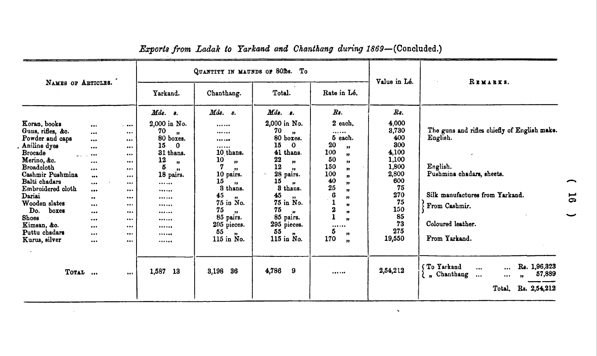|                                                                                                                                                                                                                                                                                                                        |                                                                                                                                                                                                                                                                      |                                                                                                                                                                |                                                                                                                                                                                                    | QUANTITY IN MAUNDS OF 80Ds. To                                                                                                                                                                                                                        |                                                                                                                                                                                                                                                                                  |                                                                                                                                                                                                                                                                                                                     | Value in Lé.                                                                                                                                      | REMARKS.                                                                                                                                                                                                                                                                                                                       |
|------------------------------------------------------------------------------------------------------------------------------------------------------------------------------------------------------------------------------------------------------------------------------------------------------------------------|----------------------------------------------------------------------------------------------------------------------------------------------------------------------------------------------------------------------------------------------------------------------|----------------------------------------------------------------------------------------------------------------------------------------------------------------|----------------------------------------------------------------------------------------------------------------------------------------------------------------------------------------------------|-------------------------------------------------------------------------------------------------------------------------------------------------------------------------------------------------------------------------------------------------------|----------------------------------------------------------------------------------------------------------------------------------------------------------------------------------------------------------------------------------------------------------------------------------|---------------------------------------------------------------------------------------------------------------------------------------------------------------------------------------------------------------------------------------------------------------------------------------------------------------------|---------------------------------------------------------------------------------------------------------------------------------------------------|--------------------------------------------------------------------------------------------------------------------------------------------------------------------------------------------------------------------------------------------------------------------------------------------------------------------------------|
| NAMES OF ARTICLES.                                                                                                                                                                                                                                                                                                     |                                                                                                                                                                                                                                                                      |                                                                                                                                                                | Yarkand.                                                                                                                                                                                           | Chanthang.                                                                                                                                                                                                                                            | Total.                                                                                                                                                                                                                                                                           | Rate in Lé.                                                                                                                                                                                                                                                                                                         |                                                                                                                                                   |                                                                                                                                                                                                                                                                                                                                |
| Koran, books<br>Guns, rifles, &o.<br>Powder and caps<br>Aniline dyes<br><b>Brocade</b><br>المداريات<br>Merino, &c.<br><b>Broadcloth</b><br>Cashmir Pushmina<br>Balti chadars<br>Embroidered cloth<br>Dariai<br>Wooden slates<br>Do.<br>poxes<br><b>Shoes</b><br>Kimsan, &o.<br>Puttu chadars<br>Kurus, silver<br>TOTAL | $\cdots$<br>$\cdots$<br><br>$\cdots$<br>$\bullet$<br><br>$\cdots$<br>$\bullet\bullet\bullet$<br>$\cdots$<br>$\bullet\bullet\bullet$<br>$\bullet\bullet$<br><br>$\bullet\bullet\bullet$<br>$\bullet\bullet\bullet$<br>$\cdots$<br>$\cdots$<br>$\bullet\bullet\bullet$ | $1 - 0.00$<br>$\cdots$<br>$\cdots$<br>$\cdots$<br>$\cdots$<br><br><br>$\cdots$<br><br><br>$\cdots$<br>$\cdots$<br><br>$\cdots$<br>$\cdots$<br><br><br>$\cdots$ | Mds. s.<br>2,000 in No.<br>70<br>$\mathbf{H}$<br>80 boxes.<br>15<br>$\Omega$<br>31 thans.<br>12<br>$\mathbf{H}$<br>5<br>$\bullet$<br>18 pairs.<br><br><br><br><br><br><br><br><br><br>1,587<br>-13 | Mds. s.<br><br><br><br><br>10 thans.<br>10<br>$\mathbf{H}$<br>$^{\bullet\bullet}$<br>10 pairs.<br>15<br>$\mathbf{H}$<br>3 thans.<br>45<br>$\bullet$<br>75 in No.<br>75<br>$\mathbf{v}$<br>85 pairs.<br>295 pieces.<br>55<br>115 in No.<br>36<br>3,198 | $Mds.$ $s.$<br>2,000 in No.<br>70<br>$\mathbf{H}$<br>80 boxes.<br>15<br>$\bf{0}$<br>41 thans.<br>22<br>$\mathbf{B}$<br>12<br><br>28 pairs.<br>15<br>$\bullet$<br>3 thans.<br>45<br>$^{\bullet}$<br>75 in No.<br>75<br>85 pairs.<br>295 pieces.<br>55<br>115 in No.<br>9<br>4,786 | $\boldsymbol{R}$ s.<br>2 each.<br><br>5 each.<br>20<br>$^{\prime\prime}$<br>100<br>"<br>50<br>$^{\bullet}$<br>150<br>,,<br>100<br>$\mathbf{r}$<br>40<br>"<br>25<br>"<br>$\bf{G}$<br>"<br>$\mathbf{1}$<br>m<br>$\overline{\mathbf{2}}$<br>n<br>$\mathbf{1}$<br>n<br><br>5<br>$^{\bullet}$<br>170<br>$\mathbf{r}$<br> | Rs.<br>4,000<br>3,730<br>400<br>300<br>4,100<br>1,100<br>1,800<br>2,800<br>600<br>75<br>270<br>75<br>150<br>85<br>73<br>275<br>19,550<br>2,54,212 | The guns and rifles chiefly of English make.<br>English.<br>English.<br>Pushmina chadars, sheets.<br>Silk manufactures from Yarkand.<br>From Cashmir.<br>Coloured leather.<br>From Yarkand.<br>To Yarkand<br>Rs. 1,96,323<br>$\ddotsc$<br>$\ddotsc$<br>57,889<br>$\lambda_n$ Chanthang<br>$\cdots$<br>$\cdots$<br>$\mathbf{H}$ |
|                                                                                                                                                                                                                                                                                                                        |                                                                                                                                                                                                                                                                      |                                                                                                                                                                |                                                                                                                                                                                                    |                                                                                                                                                                                                                                                       |                                                                                                                                                                                                                                                                                  |                                                                                                                                                                                                                                                                                                                     |                                                                                                                                                   | Rs. 2,54,212<br>Total.                                                                                                                                                                                                                                                                                                         |

**Contract Contract** 

 $\mathbf{X}$ 

## Exports from Ladak to Yarkand and Chanthang during 1869-(Concluded.)

16

 $\overline{\phantom{0}}$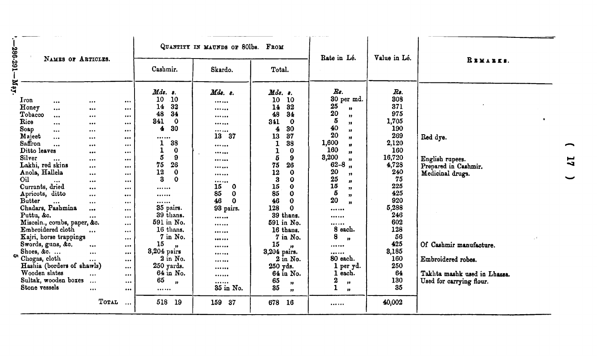|                                                                                                                                                   |                                                                                                                                                                                                                                                                                                                                                                                                                                                            |                                                                                                                                                                                                                               |                                                                                                                                                                                                                                                                                                                           |                                                                                                                                                                                                                                                                                                                                                                   | QUANTITY IN MAUNDS OF 80lbs.                                                                                                                                                                  | FROM                                                                                                                                                                                                                                                                                                                                                                                                    | Rate in Lé.                                                                                                                                                                                                                                                                                                                                                                                                                      | Value in Lé.                                                                                                                                                                                                 |                                                                                                                                                                                      |
|---------------------------------------------------------------------------------------------------------------------------------------------------|------------------------------------------------------------------------------------------------------------------------------------------------------------------------------------------------------------------------------------------------------------------------------------------------------------------------------------------------------------------------------------------------------------------------------------------------------------|-------------------------------------------------------------------------------------------------------------------------------------------------------------------------------------------------------------------------------|---------------------------------------------------------------------------------------------------------------------------------------------------------------------------------------------------------------------------------------------------------------------------------------------------------------------------|-------------------------------------------------------------------------------------------------------------------------------------------------------------------------------------------------------------------------------------------------------------------------------------------------------------------------------------------------------------------|-----------------------------------------------------------------------------------------------------------------------------------------------------------------------------------------------|---------------------------------------------------------------------------------------------------------------------------------------------------------------------------------------------------------------------------------------------------------------------------------------------------------------------------------------------------------------------------------------------------------|----------------------------------------------------------------------------------------------------------------------------------------------------------------------------------------------------------------------------------------------------------------------------------------------------------------------------------------------------------------------------------------------------------------------------------|--------------------------------------------------------------------------------------------------------------------------------------------------------------------------------------------------------------|--------------------------------------------------------------------------------------------------------------------------------------------------------------------------------------|
| $-180.291 -$                                                                                                                                      | NAMES OF ARTICLES.                                                                                                                                                                                                                                                                                                                                                                                                                                         |                                                                                                                                                                                                                               |                                                                                                                                                                                                                                                                                                                           | Cashmir.                                                                                                                                                                                                                                                                                                                                                          | Skardo.                                                                                                                                                                                       | Total.                                                                                                                                                                                                                                                                                                                                                                                                  |                                                                                                                                                                                                                                                                                                                                                                                                                                  |                                                                                                                                                                                                              | REMARKS.                                                                                                                                                                             |
| <b>Nay.</b><br>Iron<br>Honey<br>Tobacco<br>Rice<br>Soap<br>Majeet<br>Saffron<br>Ditto leaves<br>Silver<br>Oіl<br><b>Butter</b><br>Puttu, &c.<br>o | $\cdots$<br>$\cdots$<br>$\cdots$<br>$\cdots$<br>$\cdots$<br>$\cdots$<br>$\cdots$<br>$\ddotsc$<br>Lakhi, red skins<br>Anola, Hallela<br>$\ddotsc$<br>Currants, dried<br>Apricots, ditto<br>$\ddotsc$<br>Chadars, Pashmina<br>Misceln., combs, paper, &c.<br>Embroidered cloth<br>Kajri, horse trappings<br>Swords, guns, &c.<br>Shoes, &c. $\dots$<br>Chogas, cloth<br>Hashia (borders of shawls)<br>Wooden slates<br>Sultak, wooden boxes<br>Stone vessels | <br>$\cdots$<br>$\bullet\bullet\bullet$<br><br>$\cdots$<br><br><br><br><br>$\cdots$<br><br><br>$\cdots$<br>$\cdots$<br>$\cdots$<br><br>$\cdots$<br>$\cdots$<br><br>$\cdots$<br>$\ddotsc$<br>$\cdots$<br>$\ddotsc$<br>$\cdots$ | <br>$\cdots$<br>$\cdots$<br>$\cdots$<br>$\cdots$<br>$\cdots$<br>$\cdots$<br>$\cdots$<br><br>$\bullet\bullet\bullet$<br>$\cdots$<br>$\cdots$<br>$\bullet$<br>$\cdots$<br>$\cdots$<br>$\cdots$<br>$\cdots$<br>$\ddotsc$<br><br>$\cdots$<br>$\cdots$<br>$\cdots$<br>$\cdots$<br>$\cdots$<br>$\cdots$<br>$\cdots$<br>$\cdots$ | Mds. s.<br>10<br>10<br>32<br>14<br>48<br>34<br>841<br>$\mathbf 0$<br>30<br>4<br><br>38<br>0<br>5<br>$\boldsymbol{9}$<br>26<br>75<br>12<br>$\mathbf 0$<br>$\mathbf{a}$<br>0<br><br><br><br>35 pairs.<br>39 thans.<br>591 in No.<br>16 thans.<br>7 in No.<br>15<br>$\bullet$<br>3,204 pairs<br>$2$ in No.<br>250 yards.<br>64 in No.<br>65<br>$^{\prime\prime}$<br> | Mds. s.<br><br><br><br><br><br>37<br>13<br><br><br><br><br><br><br>15<br>$\Omega$<br>85<br>$\mathbf 0$<br>46<br>$\mathbf 0$<br>93 pairs.<br><br><br><br><br><br><br><br><br><br><br>35 in No. | $Mds.$ $s.$<br>10<br>10<br>14<br>32<br>48<br>34<br>341<br>$\bf{0}$<br>30<br>4<br>13<br>87<br>38<br>1<br>0<br>1<br>5<br>9<br>75<br>26<br>12<br>$\mathbf o$<br>3<br>$\Omega$<br>15<br>0<br>85<br>$\bf{0}$<br>46<br>$\bf{0}$<br>128<br>0<br>39 thans.<br>591 in No.<br>16 thans.<br>7 in No.<br>15<br>$^{\bullet}$<br>3,204 pairs.<br>$2$ in No.<br>250 yds.<br>64 in No.<br>65<br>"<br>35<br>$\mathbf{r}$ | $R_{\rm s}$ .<br>30 per md.<br>25<br>,,<br>20<br>$\mathbf{v}$<br>5<br>$\mathbf{H}$<br>40<br>$\boldsymbol{\mathcal{D}}$<br>20<br>$\boldsymbol{v}$<br>1,600<br>19<br>160<br>$\bullet$<br>3,200<br>$\mathbf{v}$<br>$62 - 8$<br>$\overline{\mathbf{u}}$<br>20<br>, 1<br>25<br>"<br>15<br>"<br>5<br>11<br>20<br>n<br>$\cdots$<br><br><br>8 each.<br>8<br>n<br><br><br>80 each.<br>1 per yd.<br>each.<br>2<br>99.<br>1<br>$\mathbf{B}$ | $Rs$ .<br>308<br>371<br>975<br>1,705<br>190<br>269<br>2,120<br>160<br>16,720<br>4,728<br>240<br>75<br>225<br>425<br>920<br>5,288<br>246<br>602<br>128<br>56<br>425<br>3,185<br>160<br>250<br>64<br>130<br>35 | Red dye.<br>English rupees.<br>Prepared in Cashmir.<br>Medicinal drugs.<br>Of Cashmir manufacture.<br>Embroidered robes.<br>Takhta mashk used in Lhassa.<br>Used for carrying flour. |
|                                                                                                                                                   |                                                                                                                                                                                                                                                                                                                                                                                                                                                            | TOTAL                                                                                                                                                                                                                         | $\cdots$                                                                                                                                                                                                                                                                                                                  | 518<br>-19                                                                                                                                                                                                                                                                                                                                                        | 159<br>37                                                                                                                                                                                     | 678<br>16                                                                                                                                                                                                                                                                                                                                                                                               |                                                                                                                                                                                                                                                                                                                                                                                                                                  | 40,002                                                                                                                                                                                                       |                                                                                                                                                                                      |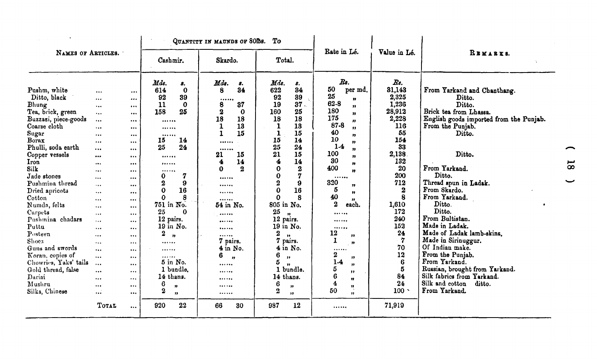| NAMES OF ARTICLES.                                                                                                                                                                                                                                                                                                                                                                                                                                 |                                                                                                                                                                                                                                                                                                   |                                                                                                                                                                                                                                                                                                                               | QUANTITY IN MAUNDS OF 80Ths.<br>To                                                                                                                                                                                                                                                                                                                          |                                                                                                                                                                                                                                                                                   |                                                                                                                                                                                                                                                                                                                                                                                                                                                                                                                                                 |                                                                                                                                                                                                                                                                                                                                                                                                                                                                                                                              |                                                                                                                                                                                                                                    |                                                                                                                                                                                                                                                                                                                                                                                                                                                                                                                                      |
|----------------------------------------------------------------------------------------------------------------------------------------------------------------------------------------------------------------------------------------------------------------------------------------------------------------------------------------------------------------------------------------------------------------------------------------------------|---------------------------------------------------------------------------------------------------------------------------------------------------------------------------------------------------------------------------------------------------------------------------------------------------|-------------------------------------------------------------------------------------------------------------------------------------------------------------------------------------------------------------------------------------------------------------------------------------------------------------------------------|-------------------------------------------------------------------------------------------------------------------------------------------------------------------------------------------------------------------------------------------------------------------------------------------------------------------------------------------------------------|-----------------------------------------------------------------------------------------------------------------------------------------------------------------------------------------------------------------------------------------------------------------------------------|-------------------------------------------------------------------------------------------------------------------------------------------------------------------------------------------------------------------------------------------------------------------------------------------------------------------------------------------------------------------------------------------------------------------------------------------------------------------------------------------------------------------------------------------------|------------------------------------------------------------------------------------------------------------------------------------------------------------------------------------------------------------------------------------------------------------------------------------------------------------------------------------------------------------------------------------------------------------------------------------------------------------------------------------------------------------------------------|------------------------------------------------------------------------------------------------------------------------------------------------------------------------------------------------------------------------------------|--------------------------------------------------------------------------------------------------------------------------------------------------------------------------------------------------------------------------------------------------------------------------------------------------------------------------------------------------------------------------------------------------------------------------------------------------------------------------------------------------------------------------------------|
|                                                                                                                                                                                                                                                                                                                                                                                                                                                    |                                                                                                                                                                                                                                                                                                   |                                                                                                                                                                                                                                                                                                                               | Cashmir.                                                                                                                                                                                                                                                                                                                                                    | Skardo.                                                                                                                                                                                                                                                                           | Total.                                                                                                                                                                                                                                                                                                                                                                                                                                                                                                                                          | Rate in Lé.                                                                                                                                                                                                                                                                                                                                                                                                                                                                                                                  | Value in Lé.                                                                                                                                                                                                                       | REMARKS.                                                                                                                                                                                                                                                                                                                                                                                                                                                                                                                             |
| Pushm, white<br>Ditto, black<br>Bhung<br>Tea, brick, green<br>Buzzazi, piece-goods<br>Coarse cloth<br>Sugar<br>Borax<br>Phulli, soda earth<br>Copper vessels<br>Iron<br>Silk<br>Jade stones<br>Pushmina thread<br>Dried apricots<br>Cotton<br>Numda, felts<br>Carpets<br>Pushmina chadars<br>Puttu<br>Posteen<br>Shoes<br>Guns and swords<br>Koran, copies of<br>Chowries, Yaks' tails<br>Gold thread, false<br>Dariai<br>Mushru<br>Silks, Chinese | $\cdots$<br><br>$\cdots$<br><br><br>$\cdots$<br><br>$\cdots$<br>$\cdots$<br><br>$\cdots$<br><br>$\cdots$<br>$\cdots$<br>$\cdots$<br>$\cdots$<br>$\cdots$<br>$\cdots$<br>$\cdots$<br>$\cdots$<br>$\cdots$<br>$\ddotsc$<br>$\cdots$<br>$\cdots$<br>$\cdots$<br><br>$\cdots$<br>$\cdots$<br>$\cdots$ | $\cdots$<br><br>$\bullet$ . $\bullet$<br><br>$\cdots$<br>$\cdots$<br>$\cdots$<br><br><br>$\cdots$<br>$\cdots$<br><br>$\cdots$<br>$\cdots$<br>$\cdots$<br>$\cdots$<br>$\cdots$<br>$\cdots$<br>$\cdots$<br>$\cdots$<br>$\cdots$<br>$\cdots$<br>$\cdots$<br>$\cdots$<br>$\cdots$<br>$\cdots$<br>$\cdots$<br>$\cdots$<br>$\cdots$ | Mds.<br>8.<br>614<br>$\bf{0}$<br>92<br>39<br>11<br>$\Omega$<br>25<br>158<br><br><br><br>15<br>14<br>25<br>24<br><br><br><br>$\bf{0}$<br>7<br>$\bf{2}$<br>9<br>16<br>0<br>$\Omega$<br>8<br>751 in No.<br>25<br>Λ<br>12 pairs.<br>19 in No.<br>$\bf{2}$<br>$^{\bullet}$<br><br>.<br>.<br>$5$ in No.<br>1 bundle.<br>14 thans.<br>6<br>,,<br>2<br>$\mathbf{P}$ | $\mathbf{M}$ ds.<br>8.<br>34<br>8<br><br>8<br>37<br>$\boldsymbol{2}$<br>0<br>18<br>18<br>13<br>1<br>15<br><br><br>15<br>21<br>14<br>4<br>$\bf{2}$<br>0<br><br><br><br><br>54 in No.<br><br><br><br><br>7 pairs.<br>$4$ in No.<br>6<br>$\overline{\mathbf{r}}$<br><br><br><br><br> | Mds.<br>8.<br>622<br>34<br>39<br>92<br>37.<br>19<br>160<br>25<br>18<br>18<br>$\mathbf{1}$<br>13<br>15<br>1<br>15<br>14<br>25<br>24<br>21<br>15<br>$\boldsymbol{4}$<br>14<br>$\bf{0}$<br>$\boldsymbol{2}$<br>$\mathbf 0$<br>7<br>$\overline{\mathbf{2}}$<br>9<br>0<br>16<br>ი<br>8<br>805 in No.<br>25<br>$\mathbf{H}$<br>12 pairs.<br>19 in No.<br>$\boldsymbol{2}$<br>$\mathbf{v}$<br>7 pairs.<br>$4$ in No.<br>6<br>$, \, \cdot$<br>5<br>$\boldsymbol{v}$<br>1 bundle.<br>14 thans.<br>6<br>33<br>$\boldsymbol{2}$<br>$\overline{\mathbf{r}}$ | $\mathbb{R}$ s.<br>50<br>per md.<br>25<br>99<br>62-8<br>$\mathbf{p}$<br>180<br>$\mathbf{v}$<br>175<br>$\boldsymbol{\eta}$<br>87-8<br>$\bullet$<br>40<br>$\boldsymbol{\eta}$<br>10<br>$\bullet$<br>$1-4$<br>$\mathbf{H}$<br>100<br>$\mathbf{H}$<br>30<br>$\boldsymbol{\eta}$<br>400<br>$\mathbf{H}$<br><br>320<br>"<br>5<br>$\mathbf{B}$<br>40<br>,,<br>$\boldsymbol{2}$<br>each.<br><br><br><br>12<br>$^{\prime\prime}$<br>$\mathbf{I}$<br>n<br><br>2<br>"<br>$1-4$<br>m<br>5<br>$\bullet$<br>6<br>11<br>4<br>11<br>50<br>,, | $Rs$ .<br>31,143<br>2,325<br>1,236<br>28,912<br>2,228<br>116<br>55<br>154<br>33<br>2,138<br>132<br>20<br>200<br>712<br>2<br>8<br>1,610<br>172<br>240<br>152<br>24<br>$\boldsymbol{7}$<br>70<br>12<br>6<br>5<br>84<br>24<br>$100 -$ | From Yarkand and Chanthang.<br>Ditto.<br>Ditto.<br>Brick tea from Lhassa.<br>English goods imported from the Punjab.<br>From the Punjab.<br>Ditto.<br>Ditto.<br>From Yarkand.<br>Ditto.<br>Thread spun in Ladak.<br>From Skardo.<br>From Yarkand.<br>Ditto.<br>Ditto.<br>From Bultistan.<br>Made in Ladak.<br>Made of Ladak lamb-skins.<br>Made in Sirinuggur.<br>Of Indian make.<br>From the Punjab.<br>From Yarkand.<br>Russian, brought from Yarkand.<br>Silk fabrics from Yarkand.<br>Silk and cotton<br>ditto.<br>From Yarkand. |
|                                                                                                                                                                                                                                                                                                                                                                                                                                                    | TOTAL                                                                                                                                                                                                                                                                                             | $\ddotsc$                                                                                                                                                                                                                                                                                                                     | 920<br>22                                                                                                                                                                                                                                                                                                                                                   | 66<br>30                                                                                                                                                                                                                                                                          | 12<br>987                                                                                                                                                                                                                                                                                                                                                                                                                                                                                                                                       |                                                                                                                                                                                                                                                                                                                                                                                                                                                                                                                              | 71,919                                                                                                                                                                                                                             |                                                                                                                                                                                                                                                                                                                                                                                                                                                                                                                                      |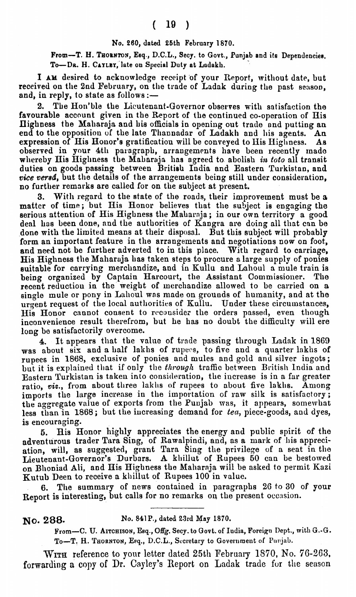## **No. 260, dated 26th February 1870.**

From-T. H. THORNTON, Esq., D.C.L., Secy. to Govt., Punjab and its Dependencies. To-DR. H. CAYLEY, late on Special Duty at Ladakh.

I AM desired to acknowledge receipt of your Report, without date, but received on the 2nd February, on the trade of Ladak during the past season, and, in reply, to state as follows  $:$   $-$ 

**2.** The Hon'ble the Lieutenant-Governor observes with satisfaction **the**  favourable account given in the Report of the continued co-operation of His Highness the Maharaja and his officials in opening out trade and putting an end to the opposition of the late Thannadar of Ladakh and his agents. An expression of His Honor's gratification will be conveyed to His Highness. As observed in your 4th paragraph, arrangements have been recently made wl~ereby 'His Highness tbe Mabnraja has agreed to abolish **ira toto** all transit duties on goods passing between British India and Eastern Turkistan, and **vice uerad,** but the detalls of **the** arrangements being still under consideration, no further remarks are called for on the subject at present.

**3.** With regard to the state of the roads, their improvement must be a mattcr of time; but His Honor believes that the subject is engaging **the**  serious attention of His Highness the Maharaja; in our own territory a good deal has been done, and the authorities of Kangra are doing all that can be done with the limited means at their disposal. But this subject will probably form an important feature in the arrangements and negotiations now on foot, and need not be further adverted to in this place. With regard to carriage, His Highness the Maharuja llas taken steps to procure **a** large supply of ponies suitable for carrying merchandize, and in Kullu and Lahoul a mule train is being organized by Captain Harcourt, the Assistant Commissioner. **The**  recent reduction in the weight of merchandize allowed to be carried on a single mule or pony in Lahoul was made on grounds of humanity, and at the urgent request of the local authorities of Kullu. Under these circumstances, His Honor cannot consent to reconsider the orders passed, even though inconvenience result therefrom, but he has no doubt the difficulty will ere long be satisfactorily overcome.

**4.** It appears that the value of trade passing through Ladak in 1869 was about six and a half lakhs of rupees, to five and a quarter lakhs of rupees in 1868, exclusive of ponies and mules and gold and silver ingots; but it is explained that if only the *through* traffic between British India and Eastern Turkistan is taken into consideration, the increase is in a far greater ratio, viz., from about three laklis of rupees to about five laklis. Among imports the large increase in the importation of raw silk is satisfactory; the aggregate value of exports from the Punjab was, it appears, somewhat less than in 1868; but the increasing demand for tea, piece-goods, and dyes, is encouraging.

**5.** Bis Honor highly appreciates the energy and public spirit of the adventurous trader Tara Sing, of Rawalpindi, and, as a mark of his appreciation, will, as suggested, grant Tara Sing the privilege of a seat in tlie Lieutenant-Governor's Durbars. A khillut of Rupees 50 can be bestowed **on** Blloniad Ali, and His Highness tho Maharaja will be aslced to permit ICazi Kutub Deen to receive a khillut of Rupees 100 in value.

**6.** The summary of news contained in paragraphs 26 **to** 30 of your Report is interesting, but calls for no remarks on the present occasion.

**NO. 288. No. 841 P., dated 23rd May 1870.** 

**Prom-C. U. AITCHISON, Esq.,** Offg. **Secy. to Govt. of Iudia, Foreign Dept., with G.-G.**  To-T. H. THORNTON, Esq., D.C.L., Secretary to Government of Punjab.

**WITH** reference to your letter dated 25th Pebruaiy **1870,** No. **76-263,**  forwarding a copy of Dr. Cayley's Report on Ladak trade for the season